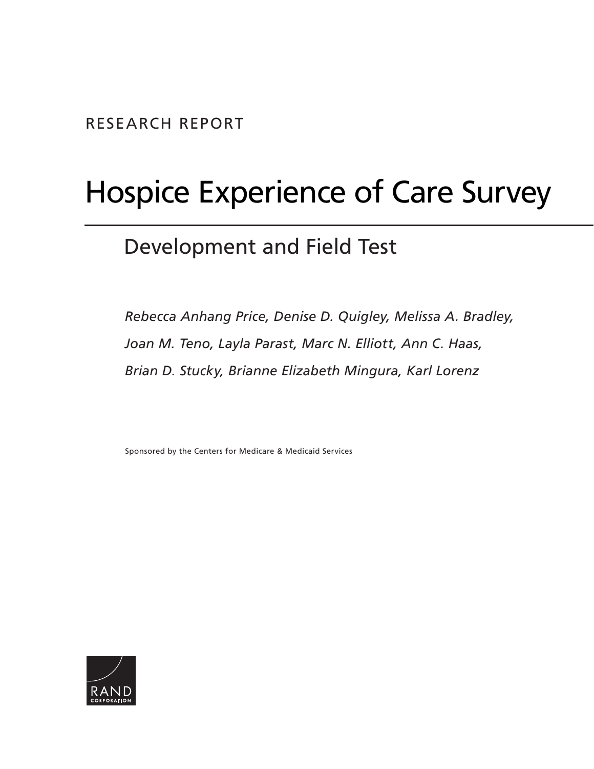# Hospice Experience of Care Survey

## Development and Field Test

*Rebecca Anhang Price, Denise D. Quigley, Melissa A. Bradley, Joan M. Teno, Layla Parast, Marc N. Elliott, Ann C. Haas, Brian D. Stucky, Brianne Elizabeth Mingura, Karl Lorenz* 

Sponsored by the Centers for Medicare & Medicaid Services

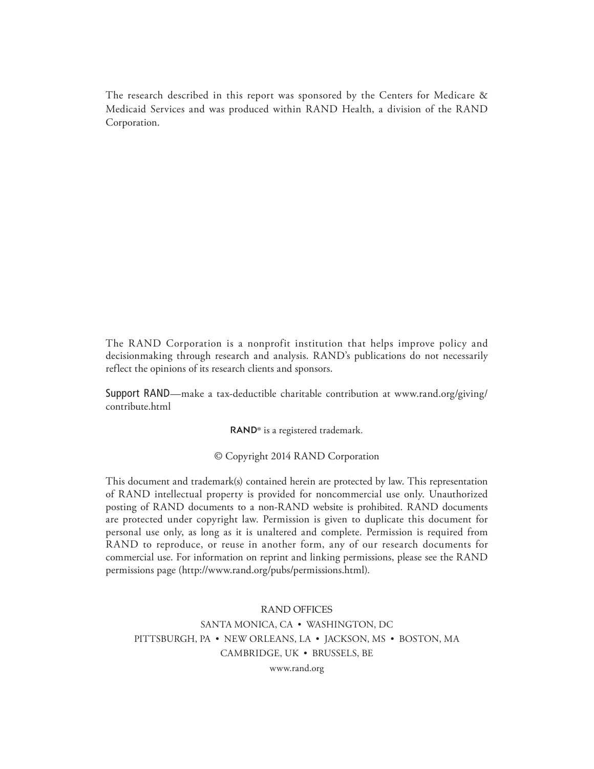The research described in this report was sponsored by the Centers for Medicare & Medicaid Services and was produced within RAND Health, a division of the RAND Corporation.

The RAND Corporation is a nonprofit institution that helps improve policy and decisionmaking through research and analysis. R AND's publications do not necessarily reflect the opinions of its research clients and sponsors.

Support RAND—make a tax-deductible charitable contribution at www.rand.org/giving/ contribute.html

RAND<sup>®</sup> is a registered trademark.

© Copyright 2014 R AND Corporation

This document and trademark(s) contained herein are protected by law. This representation of R AND intellectual property is provided for noncommercial use only. Unauthorized posting of RAND documents to a non-RAND website is prohibited. RAND documents are protected under copyright law. Permission is given to duplicate this document for personal use only, as long as it is unaltered and complete. Permission is required from RAND to reproduce, or reuse in another form, any of our research documents for commercial use. For information on reprint and linking permissions, please see the RAND permissions page (http://www.rand.org/pubs/permissions.html).

RAND OFFICES SANTA MONICA, CA • WASHINGTON, DC PITTSBURGH, PA • NEW ORLEANS, LA • JACKSON, MS • BOSTON, MA CAMBRIDGE, UK · BRUSSELS, BE -

www.rand.org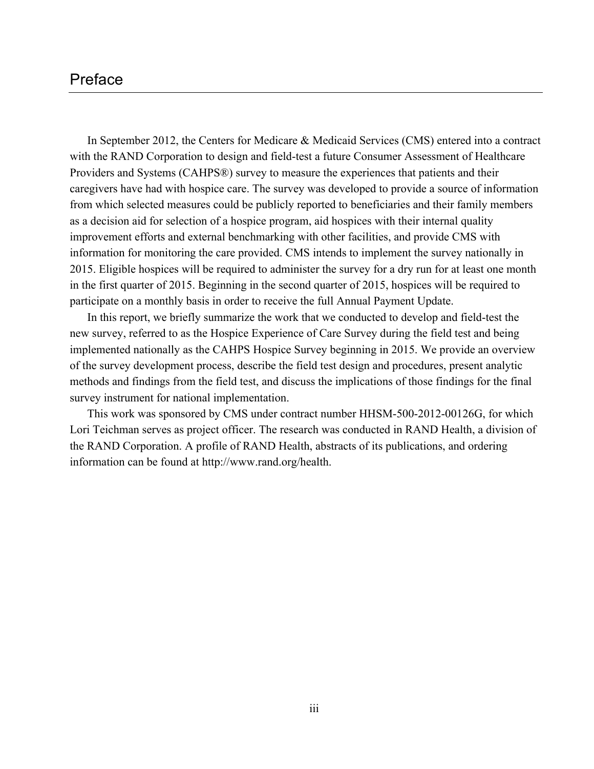### Preface

 In September 2012, the Centers for Medicare & Medicaid Services (CMS) entered into a contract with the RAND Corporation to design and field-test a future Consumer Assessment of Healthcare Providers and Systems (CAHPS®) survey to measure the experiences that patients and their information for monitoring the care provided. CMS intends to implement the survey nationally in participate on a monthly basis in order to receive the full Annual Payment Update. caregivers have had with hospice care. The survey was developed to provide a source of information from which selected measures could be publicly reported to beneficiaries and their family members as a decision aid for selection of a hospice program, aid hospices with their internal quality improvement efforts and external benchmarking with other facilities, and provide CMS with 2015. Eligible hospices will be required to administer the survey for a dry run for at least one month in the first quarter of 2015. Beginning in the second quarter of 2015, hospices will be required to

In this report, we briefly summarize the work that we conducted to develop and field-test the new survey, referred to as the Hospice Experience of Care Survey during the field test and being implemented nationally as the CAHPS Hospice Survey beginning in 2015. We provide an overview of the survey development process, describe the field test design and procedures, present analytic methods and findings from the field test, and discuss the implications of those findings for the final survey instrument for national implementation.

This work was sponsored by CMS under contract number HHSM-500-2012-00126G, for which Lori Teichman serves as project officer. The research was conducted in RAND Health, a division of the RAND Corporation. A profile of RAND Health, abstracts of its publications, and ordering information can be found at http://www.rand.org/health.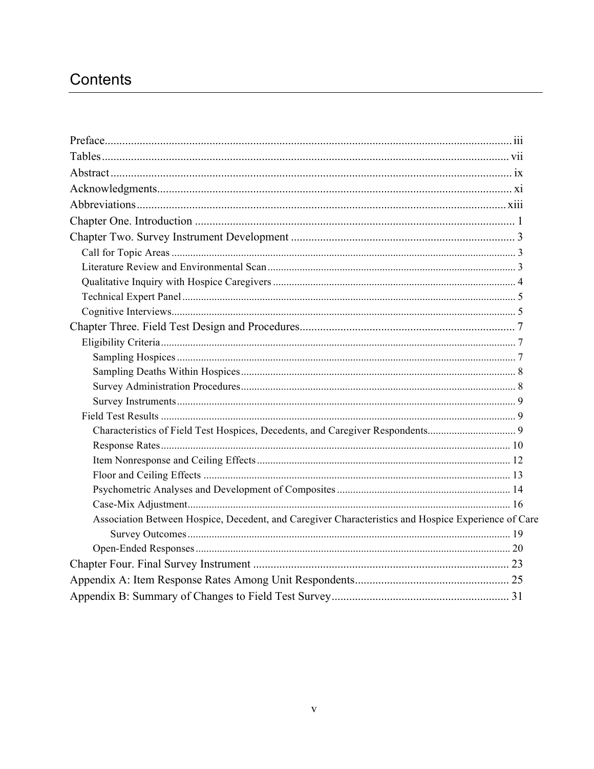## Contents

| Characteristics of Field Test Hospices, Decedents, and Caregiver Respondents 9                      |  |
|-----------------------------------------------------------------------------------------------------|--|
|                                                                                                     |  |
|                                                                                                     |  |
|                                                                                                     |  |
|                                                                                                     |  |
|                                                                                                     |  |
| Association Between Hospice, Decedent, and Caregiver Characteristics and Hospice Experience of Care |  |
|                                                                                                     |  |
|                                                                                                     |  |
|                                                                                                     |  |
|                                                                                                     |  |
|                                                                                                     |  |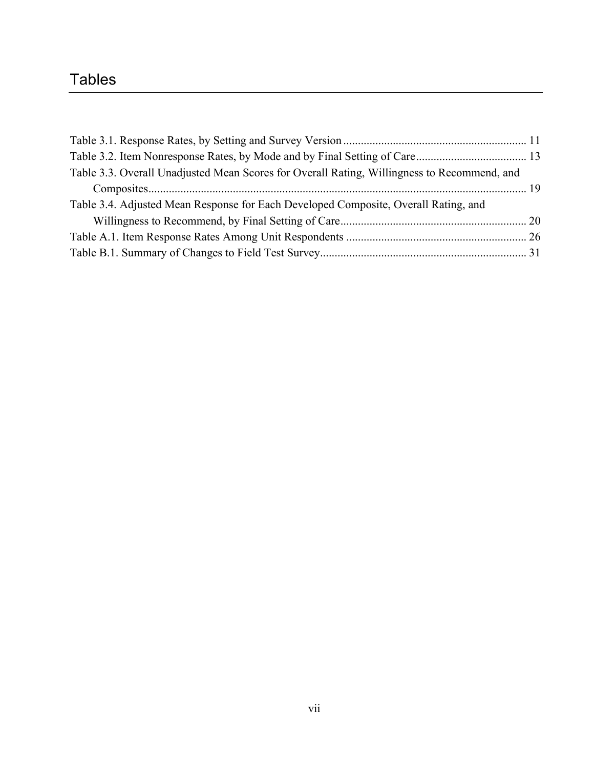## Tables

| Table 3.3. Overall Unadjusted Mean Scores for Overall Rating, Willingness to Recommend, and |  |
|---------------------------------------------------------------------------------------------|--|
|                                                                                             |  |
| Table 3.4. Adjusted Mean Response for Each Developed Composite, Overall Rating, and         |  |
|                                                                                             |  |
|                                                                                             |  |
|                                                                                             |  |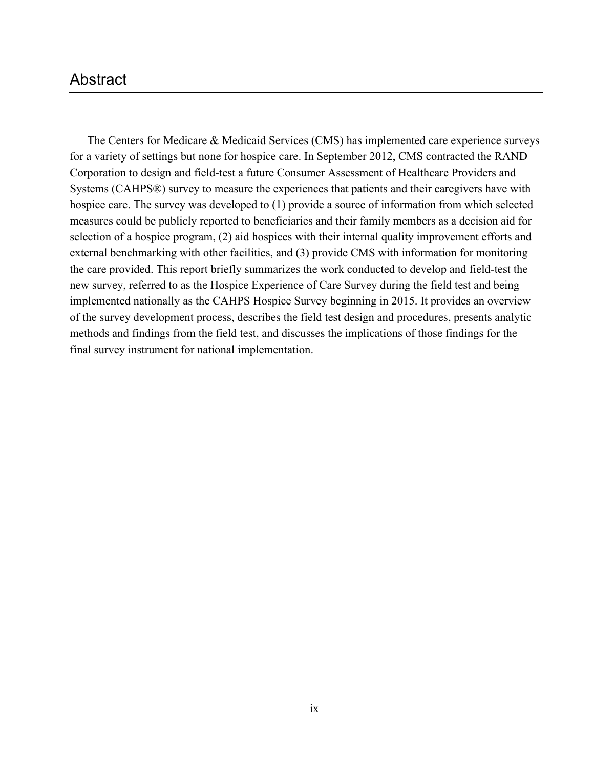## Abstract

 for a variety of settings but none for hospice care. In September 2012, CMS contracted the RAND Corporation to design and field-test a future Consumer Assessment of Healthcare Providers and Systems (CAHPS®) survey to measure the experiences that patients and their caregivers have with selection of a hospice program, (2) aid hospices with their internal quality improvement efforts and external benchmarking with other facilities, and (3) provide CMS with information for monitoring The Centers for Medicare & Medicaid Services (CMS) has implemented care experience surveys hospice care. The survey was developed to (1) provide a source of information from which selected measures could be publicly reported to beneficiaries and their family members as a decision aid for the care provided. This report briefly summarizes the work conducted to develop and field-test the new survey, referred to as the Hospice Experience of Care Survey during the field test and being implemented nationally as the CAHPS Hospice Survey beginning in 2015. It provides an overview of the survey development process, describes the field test design and procedures, presents analytic methods and findings from the field test, and discusses the implications of those findings for the final survey instrument for national implementation.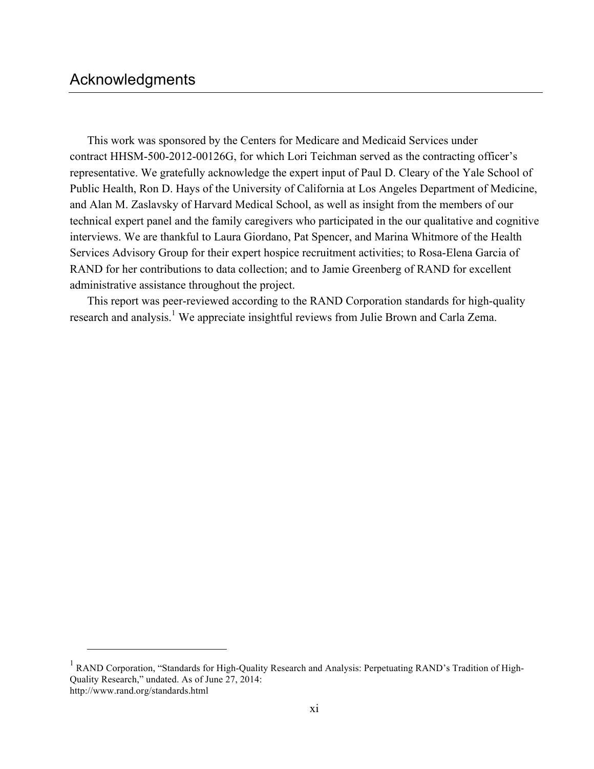$\overline{a}$ 

administrative assistance throughout the project. This work was sponsored by the Centers for Medicare and Medicaid Services under contract HHSM-500-2012-00126G, for which Lori Teichman served as the contracting officer's representative. We gratefully acknowledge the expert input of Paul D. Cleary of the Yale School of Public Health, Ron D. Hays of the University of California at Los Angeles Department of Medicine, and Alan M. Zaslavsky of Harvard Medical School, as well as insight from the members of our technical expert panel and the family caregivers who participated in the our qualitative and cognitive interviews. We are thankful to Laura Giordano, Pat Spencer, and Marina Whitmore of the Health Services Advisory Group for their expert hospice recruitment activities; to Rosa-Elena Garcia of RAND for her contributions to data collection; and to Jamie Greenberg of RAND for excellent

This report was peer-reviewed according to the RAND Corporation standards for high-quality research and analysis.<sup>1</sup> We appreciate insightful reviews from Julie Brown and Carla Zema.

<sup>&</sup>lt;sup>1</sup> RAND Corporation, "Standards for High-Quality Research and Analysis: Perpetuating RAND's Tradition of High- Quality Research," undated. As of June 27, 2014: http://www.rand.org/standards.html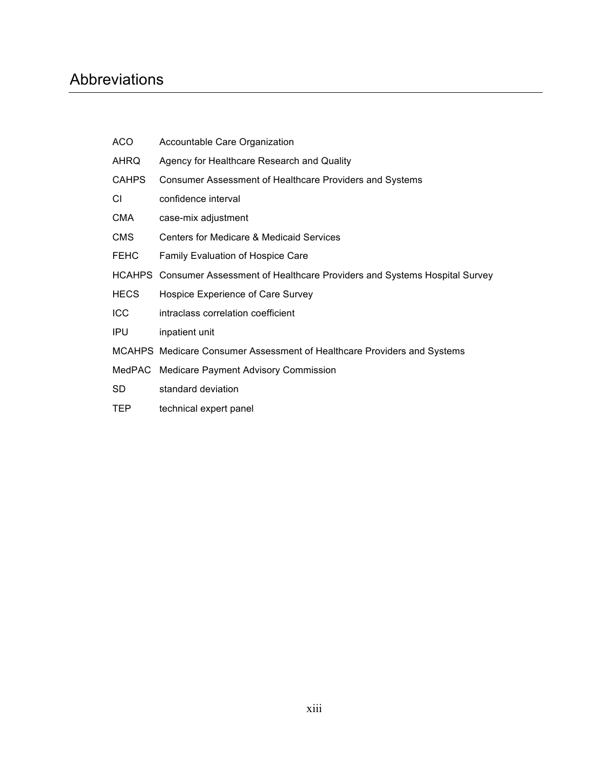## Abbreviations

| ACO.         | Accountable Care Organization                                                  |
|--------------|--------------------------------------------------------------------------------|
| AHRQ         | Agency for Healthcare Research and Quality                                     |
| <b>CAHPS</b> | Consumer Assessment of Healthcare Providers and Systems                        |
| СI           | confidence interval                                                            |
| <b>CMA</b>   | case-mix adjustment                                                            |
| CMS          | <b>Centers for Medicare &amp; Medicaid Services</b>                            |
| <b>FEHC</b>  | <b>Family Evaluation of Hospice Care</b>                                       |
|              | HCAHPS Consumer Assessment of Healthcare Providers and Systems Hospital Survey |
| <b>HECS</b>  | Hospice Experience of Care Survey                                              |
| <b>ICC</b>   | intraclass correlation coefficient                                             |
| <b>IPU</b>   | inpatient unit                                                                 |
|              | MCAHPS Medicare Consumer Assessment of Healthcare Providers and Systems        |
|              | MedPAC Medicare Payment Advisory Commission                                    |
| SD           | standard deviation                                                             |
| <b>TEP</b>   | technical expert panel                                                         |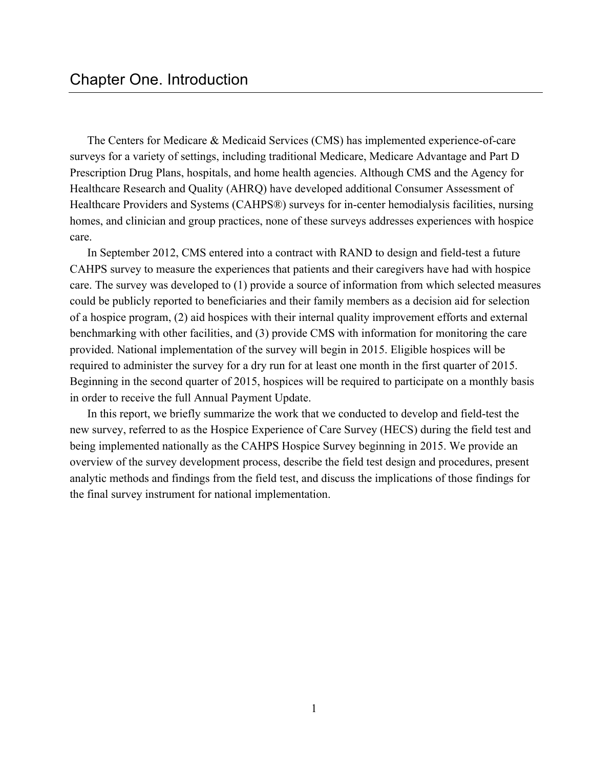The Centers for Medicare & Medicaid Services (CMS) has implemented experience-of-care surveys for a variety of settings, including traditional Medicare, Medicare Advantage and Part D Prescription Drug Plans, hospitals, and home health agencies. Although CMS and the Agency for Healthcare Research and Quality (AHRQ) have developed additional Consumer Assessment of Healthcare Providers and Systems (CAHPS®) surveys for in-center hemodialysis facilities, nursing homes, and clinician and group practices, none of these surveys addresses experiences with hospice care.

 In September 2012, CMS entered into a contract with RAND to design and field-test a future CAHPS survey to measure the experiences that patients and their caregivers have had with hospice of a hospice program, (2) aid hospices with their internal quality improvement efforts and external benchmarking with other facilities, and (3) provide CMS with information for monitoring the care in order to receive the full Annual Payment Update. care. The survey was developed to (1) provide a source of information from which selected measures could be publicly reported to beneficiaries and their family members as a decision aid for selection provided. National implementation of the survey will begin in 2015. Eligible hospices will be required to administer the survey for a dry run for at least one month in the first quarter of 2015. Beginning in the second quarter of 2015, hospices will be required to participate on a monthly basis

In this report, we briefly summarize the work that we conducted to develop and field-test the new survey, referred to as the Hospice Experience of Care Survey (HECS) during the field test and being implemented nationally as the CAHPS Hospice Survey beginning in 2015. We provide an overview of the survey development process, describe the field test design and procedures, present analytic methods and findings from the field test, and discuss the implications of those findings for the final survey instrument for national implementation.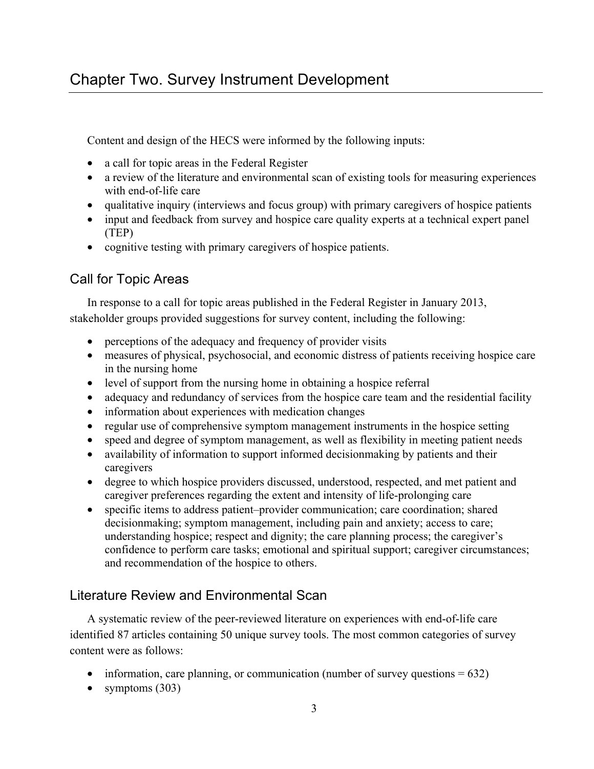Content and design of the HECS were informed by the following inputs:

- a call for topic areas in the Federal Register
- a review of the literature and environmental scan of existing tools for measuring experiences with end-of-life care
- • qualitative inquiry (interviews and focus group) with primary caregivers of hospice patients
- input and feedback from survey and hospice care quality experts at a technical expert panel (TEP)
- cognitive testing with primary caregivers of hospice patients.

## Call for Topic Areas

In response to a call for topic areas published in the Federal Register in January 2013, stakeholder groups provided suggestions for survey content, including the following:

- perceptions of the adequacy and frequency of provider visits
- measures of physical, psychosocial, and economic distress of patients receiving hospice care in the nursing home
- level of support from the nursing home in obtaining a hospice referral
- adequacy and redundancy of services from the hospice care team and the residential facility
- information about experiences with medication changes
- regular use of comprehensive symptom management instruments in the hospice setting
- speed and degree of symptom management, as well as flexibility in meeting patient needs
- availability of information to support informed decision making by patients and their caregivers
- degree to which hospice providers discussed, understood, respected, and met patient and caregiver preferences regarding the extent and intensity of life-prolonging care
- understanding hospice; respect and dignity; the care planning process; the caregiver's • specific items to address patient–provider communication; care coordination; shared decisionmaking; symptom management, including pain and anxiety; access to care; confidence to perform care tasks; emotional and spiritual support; caregiver circumstances; and recommendation of the hospice to others.

## Literature Review and Environmental Scan

 content were as follows: A systematic review of the peer-reviewed literature on experiences with end-of-life care identified 87 articles containing 50 unique survey tools. The most common categories of survey

- information, care planning, or communication (number of survey questions  $= 632$ )
- symptoms  $(303)$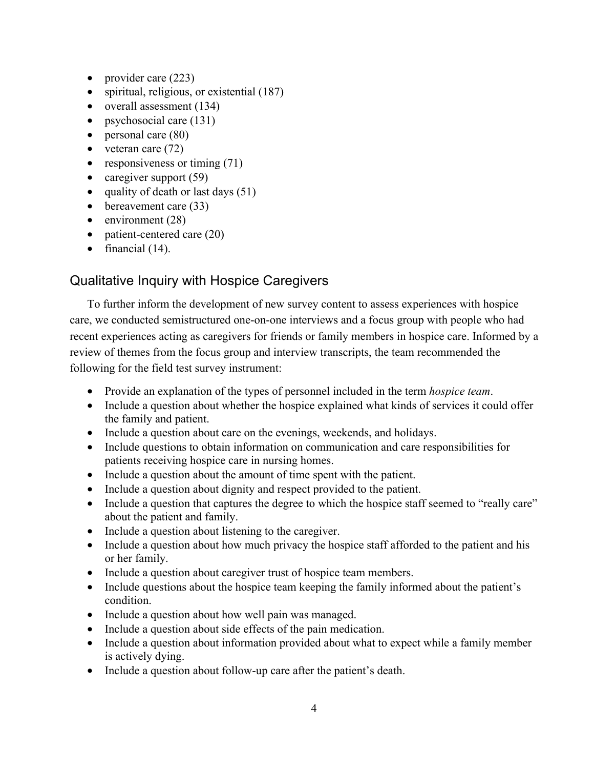- provider care (223)
- spiritual, religious, or existential (187)
- overall assessment (134)
- psychosocial care (131)
- personal care (80)
- veteran care  $(72)$
- responsiveness or timing  $(71)$
- caregiver support  $(59)$
- quality of death or last days  $(51)$
- bereavement care (33)
- environment  $(28)$
- patient-centered care (20)
- financial  $(14)$ .

## Qualitative Inquiry with Hospice Caregivers

 care, we conducted semistructured one-on-one interviews and a focus group with people who had recent experiences acting as caregivers for friends or family members in hospice care. Informed by a following for the field test survey instrument: To further inform the development of new survey content to assess experiences with hospice review of themes from the focus group and interview transcripts, the team recommended the

- • Provide an explanation of the types of personnel included in the term *hospice team*.
- Include a question about whether the hospice explained what kinds of services it could offer the family and patient.
- Include a question about care on the evenings, weekends, and holidays.
- Include questions to obtain information on communication and care responsibilities for patients receiving hospice care in nursing homes.
- Include a question about the amount of time spent with the patient.
- Include a question about dignity and respect provided to the patient.
- Include a question that captures the degree to which the hospice staff seemed to "really care" about the patient and family.
- Include a question about listening to the caregiver.
- Include a question about how much privacy the hospice staff afforded to the patient and his or her family.
- Include a question about caregiver trust of hospice team members.
- Include questions about the hospice team keeping the family informed about the patient's condition.
- Include a question about how well pain was managed.
- Include a question about side effects of the pain medication.
- Include a question about information provided about what to expect while a family member is actively dying.
- Include a question about follow-up care after the patient's death.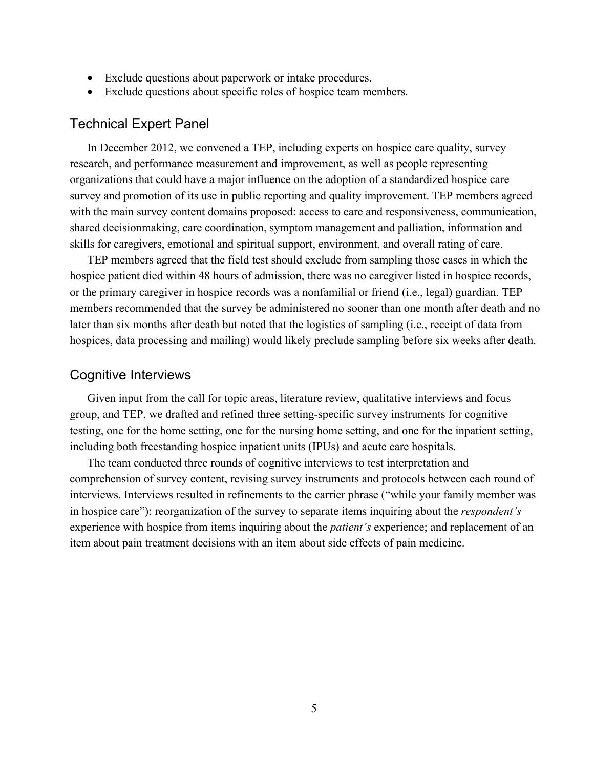- Exclude questions about paperwork or intake procedures.
- Exclude questions about specific roles of hospice team members.

#### Technical Expert Panel

 research, and performance measurement and improvement, as well as people representing shared decisionmaking, care coordination, symptom management and palliation, information and skills for caregivers, emotional and spiritual support, environment, and overall rating of care. In December 2012, we convened a TEP, including experts on hospice care quality, survey organizations that could have a major influence on the adoption of a standardized hospice care survey and promotion of its use in public reporting and quality improvement. TEP members agreed with the main survey content domains proposed: access to care and responsiveness, communication,

TEP members agreed that the field test should exclude from sampling those cases in which the hospice patient died within 48 hours of admission, there was no caregiver listed in hospice records, or the primary caregiver in hospice records was a nonfamilial or friend (i.e., legal) guardian. TEP members recommended that the survey be administered no sooner than one month after death and no later than six months after death but noted that the logistics of sampling (i.e., receipt of data from hospices, data processing and mailing) would likely preclude sampling before six weeks after death.

#### Cognitive Interviews

 including both freestanding hospice inpatient units (IPUs) and acute care hospitals. Given input from the call for topic areas, literature review, qualitative interviews and focus group, and TEP, we drafted and refined three setting-specific survey instruments for cognitive testing, one for the home setting, one for the nursing home setting, and one for the inpatient setting,

 experience with hospice from items inquiring about the *patient's* experience; and replacement of an item about pain treatment decisions with an item about side effects of pain medicine. The team conducted three rounds of cognitive interviews to test interpretation and comprehension of survey content, revising survey instruments and protocols between each round of interviews. Interviews resulted in refinements to the carrier phrase ("while your family member was in hospice care"); reorganization of the survey to separate items inquiring about the *respondent's*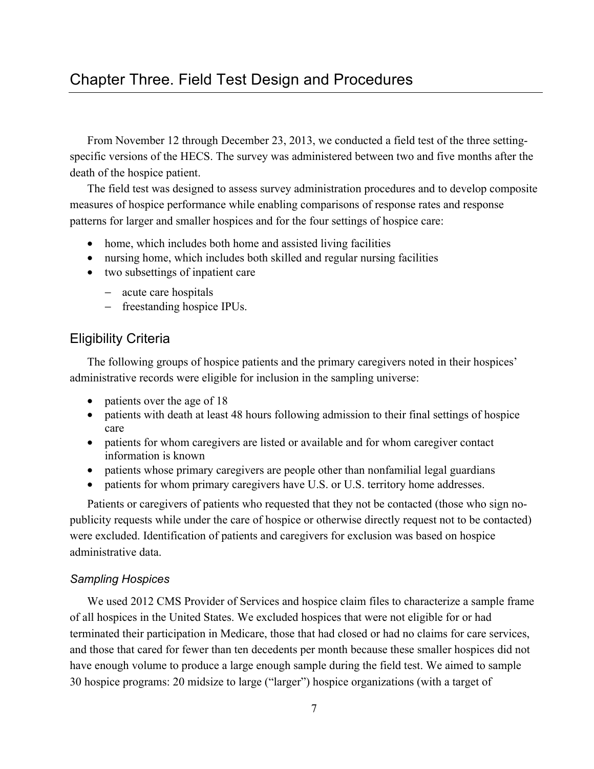specific versions of the HECS. The survey was administered between two and five months after the From November 12 through December 23, 2013, we conducted a field test of the three settingdeath of the hospice patient.

 patterns for larger and smaller hospices and for the four settings of hospice care: The field test was designed to assess survey administration procedures and to develop composite measures of hospice performance while enabling comparisons of response rates and response

- home, which includes both home and assisted living facilities
- nursing home, which includes both skilled and regular nursing facilities
- two subsettings of inpatient care
	- − acute care hospitals
	- − freestanding hospice IPUs.

#### Eligibility Criteria

The following groups of hospice patients and the primary caregivers noted in their hospices' administrative records were eligible for inclusion in the sampling universe:

- patients over the age of 18
- patients with death at least 48 hours following admission to their final settings of hospice care
- patients for whom caregivers are listed or available and for whom caregiver contact information is known
- patients whose primary caregivers are people other than nonfamilial legal guardians
- patients for whom primary caregivers have U.S. or U.S. territory home addresses.

Patients or caregivers of patients who requested that they not be contacted (those who sign nopublicity requests while under the care of hospice or otherwise directly request not to be contacted) were excluded. Identification of patients and caregivers for exclusion was based on hospice administrative data.

#### *Sampling Hospices*

 We used 2012 CMS Provider of Services and hospice claim files to characterize a sample frame and those that cared for fewer than ten decedents per month because these smaller hospices did not 30 hospice programs: 20 midsize to large ("larger") hospice organizations (with a target of of all hospices in the United States. We excluded hospices that were not eligible for or had terminated their participation in Medicare, those that had closed or had no claims for care services, have enough volume to produce a large enough sample during the field test. We aimed to sample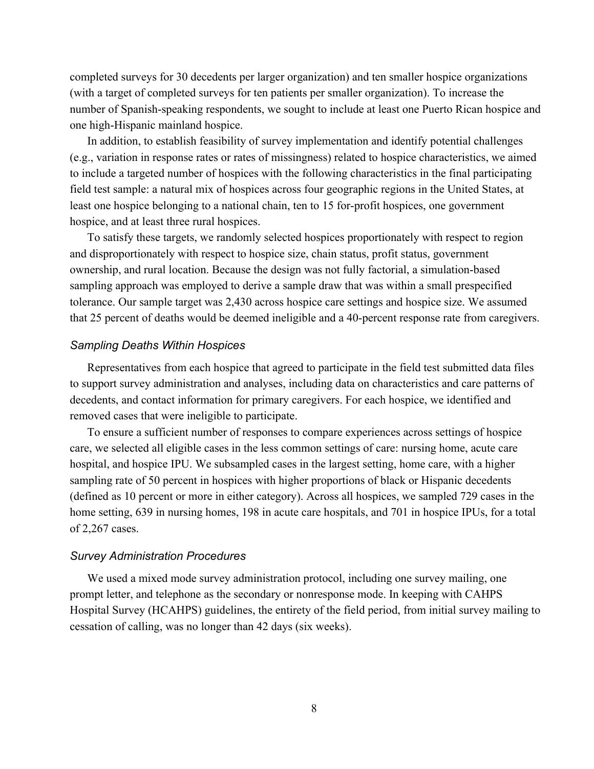completed surveys for 30 decedents per larger organization) and ten smaller hospice organizations (with a target of completed surveys for ten patients per smaller organization). To increase the number of Spanish-speaking respondents, we sought to include at least one Puerto Rican hospice and one high-Hispanic mainland hospice.

 field test sample: a natural mix of hospices across four geographic regions in the United States, at least one hospice belonging to a national chain, ten to 15 for-profit hospices, one government hospice, and at least three rural hospices. In addition, to establish feasibility of survey implementation and identify potential challenges (e.g., variation in response rates or rates of missingness) related to hospice characteristics, we aimed to include a targeted number of hospices with the following characteristics in the final participating

 sampling approach was employed to derive a sample draw that was within a small prespecified that 25 percent of deaths would be deemed ineligible and a 40-percent response rate from caregivers. To satisfy these targets, we randomly selected hospices proportionately with respect to region and disproportionately with respect to hospice size, chain status, profit status, government ownership, and rural location. Because the design was not fully factorial, a simulation-based tolerance. Our sample target was 2,430 across hospice care settings and hospice size. We assumed

#### *Sampling Deaths Within Hospices*

Representatives from each hospice that agreed to participate in the field test submitted data files to support survey administration and analyses, including data on characteristics and care patterns of decedents, and contact information for primary caregivers. For each hospice, we identified and removed cases that were ineligible to participate.

 sampling rate of 50 percent in hospices with higher proportions of black or Hispanic decedents (defined as 10 percent or more in either category). Across all hospices, we sampled 729 cases in the of 2,267 cases. To ensure a sufficient number of responses to compare experiences across settings of hospice care, we selected all eligible cases in the less common settings of care: nursing home, acute care hospital, and hospice IPU. We subsampled cases in the largest setting, home care, with a higher home setting, 639 in nursing homes, 198 in acute care hospitals, and 701 in hospice IPUs, for a total

#### *Survey Administration Procedures*

 We used a mixed mode survey administration protocol, including one survey mailing, one Hospital Survey (HCAHPS) guidelines, the entirety of the field period, from initial survey mailing to prompt letter, and telephone as the secondary or nonresponse mode. In keeping with CAHPS cessation of calling, was no longer than 42 days (six weeks).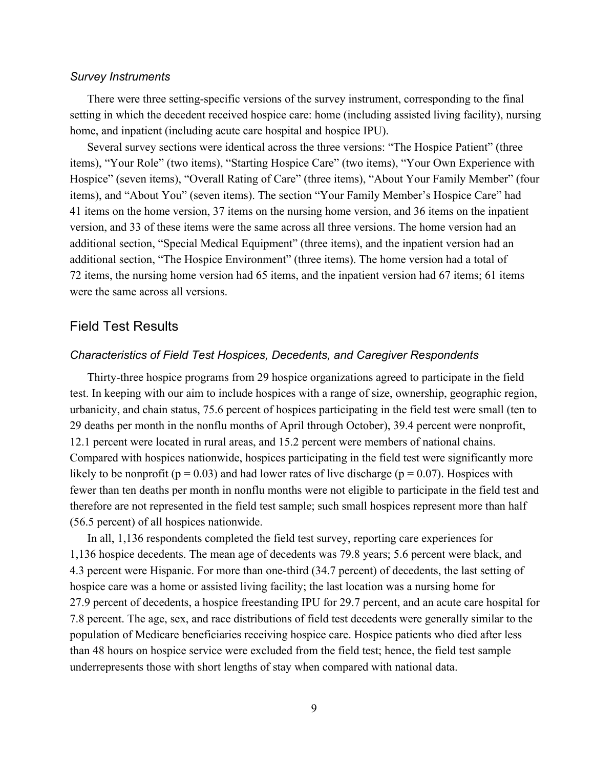#### *Survey Instruments*

 home, and inpatient (including acute care hospital and hospice IPU). There were three setting-specific versions of the survey instrument, corresponding to the final setting in which the decedent received hospice care: home (including assisted living facility), nursing

 Several survey sections were identical across the three versions: "The Hospice Patient" (three items), "Your Role" (two items), "Starting Hospice Care" (two items), "Your Own Experience with Hospice" (seven items), "Overall Rating of Care" (three items), "About Your Family Member" (four additional section, "Special Medical Equipment" (three items), and the inpatient version had an additional section, "The Hospice Environment" (three items). The home version had a total of 72 items, the nursing home version had 65 items, and the inpatient version had 67 items; 61 items items), and "About You" (seven items). The section "Your Family Member's Hospice Care" had 41 items on the home version, 37 items on the nursing home version, and 36 items on the inpatient version, and 33 of these items were the same across all three versions. The home version had an were the same across all versions.

#### Field Test Results

#### *Characteristics of Field Test Hospices, Decedents, and Caregiver Respondents*

 urbanicity, and chain status, 75.6 percent of hospices participating in the field test were small (ten to 29 deaths per month in the nonflu months of April through October), 39.4 percent were nonprofit, 12.1 percent were located in rural areas, and 15.2 percent were members of national chains. likely to be nonprofit ( $p = 0.03$ ) and had lower rates of live discharge ( $p = 0.07$ ). Hospices with therefore are not represented in the field test sample; such small hospices represent more than half Thirty-three hospice programs from 29 hospice organizations agreed to participate in the field test. In keeping with our aim to include hospices with a range of size, ownership, geographic region, Compared with hospices nationwide, hospices participating in the field test were significantly more fewer than ten deaths per month in nonflu months were not eligible to participate in the field test and (56.5 percent) of all hospices nationwide.

 In all, 1,136 respondents completed the field test survey, reporting care experiences for 1,136 hospice decedents. The mean age of decedents was 79.8 years; 5.6 percent were black, and 4.3 percent were Hispanic. For more than one-third (34.7 percent) of decedents, the last setting of hospice care was a home or assisted living facility; the last location was a nursing home for 27.9 percent of decedents, a hospice freestanding IPU for 29.7 percent, and an acute care hospital for 7.8 percent. The age, sex, and race distributions of field test decedents were generally similar to the than 48 hours on hospice service were excluded from the field test; hence, the field test sample population of Medicare beneficiaries receiving hospice care. Hospice patients who died after less underrepresents those with short lengths of stay when compared with national data.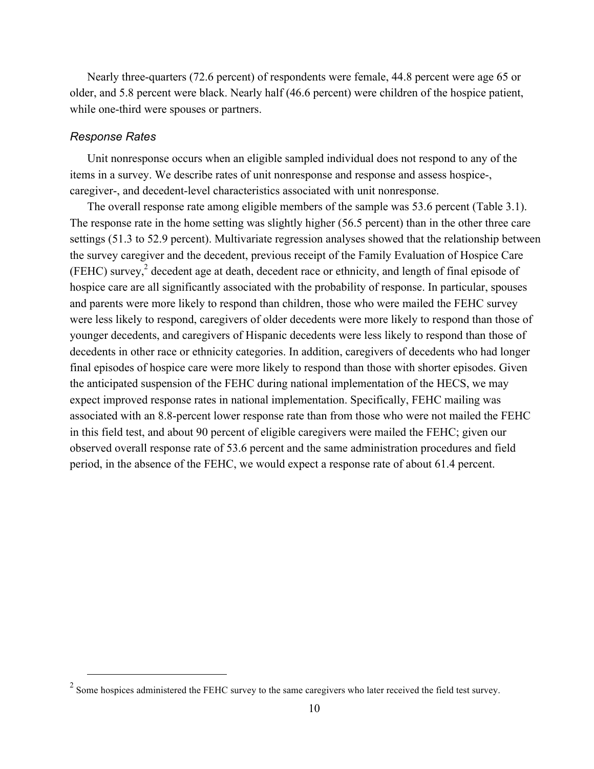Nearly three-quarters (72.6 percent) of respondents were female, 44.8 percent were age 65 or older, and 5.8 percent were black. Nearly half (46.6 percent) were children of the hospice patient, while one-third were spouses or partners.

#### *Response Rates*

 $\overline{a}$ 

Unit nonresponse occurs when an eligible sampled individual does not respond to any of the items in a survey. We describe rates of unit nonresponse and response and assess hospice-, caregiver-, and decedent-level characteristics associated with unit nonresponse.

 The overall response rate among eligible members of the sample was 53.6 percent (Table 3.1). settings (51.3 to 52.9 percent). Multivariate regression analyses showed that the relationship between the survey caregiver and the decedent, previous receipt of the Family Evaluation of Hospice Care (FEHC) survey, $2$  decedent age at death, decedent race or ethnicity, and length of final episode of associated with an 8.8-percent lower response rate than from those who were not mailed the FEHC in this field test, and about 90 percent of eligible caregivers were mailed the FEHC; given our observed overall response rate of 53.6 percent and the same administration procedures and field period, in the absence of the FEHC, we would expect a response rate of about 61.4 percent. The response rate in the home setting was slightly higher (56.5 percent) than in the other three care hospice care are all significantly associated with the probability of response. In particular, spouses and parents were more likely to respond than children, those who were mailed the FEHC survey were less likely to respond, caregivers of older decedents were more likely to respond than those of younger decedents, and caregivers of Hispanic decedents were less likely to respond than those of decedents in other race or ethnicity categories. In addition, caregivers of decedents who had longer final episodes of hospice care were more likely to respond than those with shorter episodes. Given the anticipated suspension of the FEHC during national implementation of the HECS, we may expect improved response rates in national implementation. Specifically, FEHC mailing was

 $2^2$  Some hospices administered the FEHC survey to the same caregivers who later received the field test survey.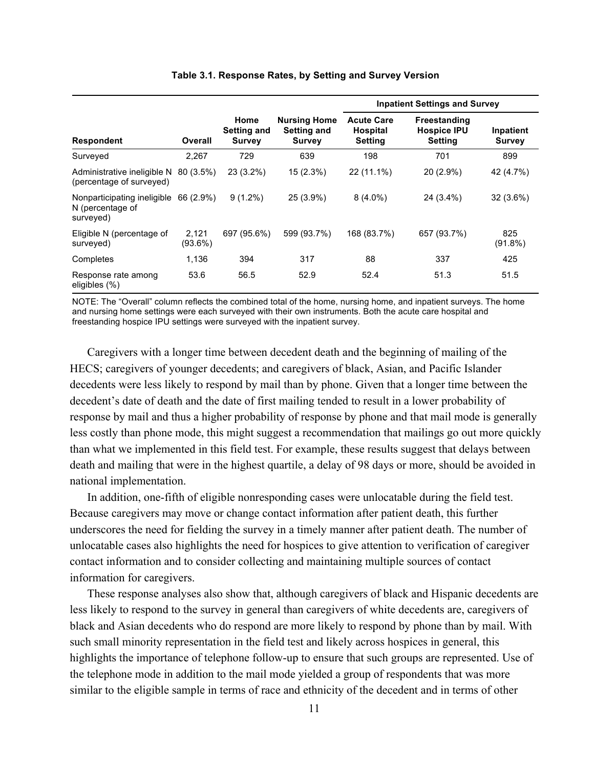| <b>Respondent</b><br>Surveyed                                |                     |                                             |                                                            | <b>Inpatient Settings and Survey</b>                   |                                                             |                            |  |  |  |
|--------------------------------------------------------------|---------------------|---------------------------------------------|------------------------------------------------------------|--------------------------------------------------------|-------------------------------------------------------------|----------------------------|--|--|--|
|                                                              | Overall             | Home<br><b>Setting and</b><br><b>Survey</b> | <b>Nursing Home</b><br><b>Setting and</b><br><b>Survey</b> | <b>Acute Care</b><br><b>Hospital</b><br><b>Setting</b> | <b>Freestanding</b><br><b>Hospice IPU</b><br><b>Setting</b> | Inpatient<br><b>Survey</b> |  |  |  |
|                                                              | 2,267               | 729                                         | 639                                                        | 198                                                    | 701                                                         | 899                        |  |  |  |
| Administrative ineligible N<br>(percentage of surveyed)      | 80 (3.5%)           | $23(3.2\%)$                                 | 15 (2.3%)                                                  | 22 (11.1%)                                             | 20 (2.9%)                                                   | 42 (4.7%)                  |  |  |  |
| Nonparticipating ineligible<br>N (percentage of<br>surveyed) | 66 (2.9%)           | $9(1.2\%)$                                  | 25 (3.9%)                                                  | $8(4.0\%)$                                             | 24 (3.4%)                                                   | $32(3.6\%)$                |  |  |  |
| Eligible N (percentage of<br>surveyed)                       | 2,121<br>$(93.6\%)$ | 697 (95.6%)                                 | 599 (93.7%)                                                | 168 (83.7%)                                            | 657 (93.7%)                                                 | 825<br>$(91.8\%)$          |  |  |  |
| Completes                                                    | 1,136               | 394                                         | 317                                                        | 88                                                     | 337                                                         | 425                        |  |  |  |
| Response rate among<br>eligibles (%)                         | 53.6                | 56.5                                        | 52.9                                                       | 52.4                                                   | 51.3                                                        | 51.5                       |  |  |  |

#### **Table 3.1. Response Rates, by Setting and Survey Version**

 NOTE: The "Overall" column reflects the combined total of the home, nursing home, and inpatient surveys. The home freestanding hospice IPU settings were surveyed with the inpatient survey. and nursing home settings were each surveyed with their own instruments. Both the acute care hospital and

Caregivers with a longer time between decedent death and the beginning of mailing of the HECS; caregivers of younger decedents; and caregivers of black, Asian, and Pacific Islander decedents were less likely to respond by mail than by phone. Given that a longer time between the decedent's date of death and the date of first mailing tended to result in a lower probability of response by mail and thus a higher probability of response by phone and that mail mode is generally less costly than phone mode, this might suggest a recommendation that mailings go out more quickly than what we implemented in this field test. For example, these results suggest that delays between death and mailing that were in the highest quartile, a delay of 98 days or more, should be avoided in national implementation.

 In addition, one-fifth of eligible nonresponding cases were unlocatable during the field test. Because caregivers may move or change contact information after patient death, this further underscores the need for fielding the survey in a timely manner after patient death. The number of unlocatable cases also highlights the need for hospices to give attention to verification of caregiver contact information and to consider collecting and maintaining multiple sources of contact information for caregivers.

 These response analyses also show that, although caregivers of black and Hispanic decedents are less likely to respond to the survey in general than caregivers of white decedents are, caregivers of the telephone mode in addition to the mail mode yielded a group of respondents that was more black and Asian decedents who do respond are more likely to respond by phone than by mail. With such small minority representation in the field test and likely across hospices in general, this highlights the importance of telephone follow-up to ensure that such groups are represented. Use of similar to the eligible sample in terms of race and ethnicity of the decedent and in terms of other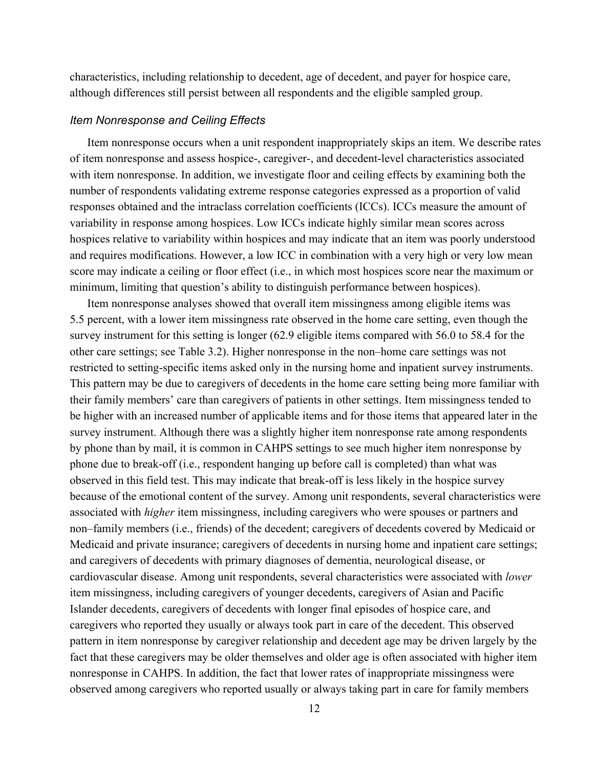although differences still persist between all respondents and the eligible sampled group. characteristics, including relationship to decedent, age of decedent, and payer for hospice care,

#### *Item Nonresponse and Ceiling Effects*

Item nonresponse occurs when a unit respondent inappropriately skips an item. We describe rates of item nonresponse and assess hospice-, caregiver-, and decedent-level characteristics associated with item nonresponse. In addition, we investigate floor and ceiling effects by examining both the number of respondents validating extreme response categories expressed as a proportion of valid responses obtained and the intraclass correlation coefficients (ICCs). ICCs measure the amount of variability in response among hospices. Low ICCs indicate highly similar mean scores across hospices relative to variability within hospices and may indicate that an item was poorly understood and requires modifications. However, a low ICC in combination with a very high or very low mean score may indicate a ceiling or floor effect (i.e., in which most hospices score near the maximum or minimum, limiting that question's ability to distinguish performance between hospices).

 5.5 percent, with a lower item missingness rate observed in the home care setting, even though the other care settings; see Table 3.2). Higher nonresponse in the non–home care settings was not survey instrument. Although there was a slightly higher item nonresponse rate among respondents nonresponse in CAHPS. In addition, the fact that lower rates of inappropriate missingness were observed among caregivers who reported usually or always taking part in care for family members Item nonresponse analyses showed that overall item missingness among eligible items was survey instrument for this setting is longer (62.9 eligible items compared with 56.0 to 58.4 for the restricted to setting-specific items asked only in the nursing home and inpatient survey instruments. This pattern may be due to caregivers of decedents in the home care setting being more familiar with their family members' care than caregivers of patients in other settings. Item missingness tended to be higher with an increased number of applicable items and for those items that appeared later in the by phone than by mail, it is common in CAHPS settings to see much higher item nonresponse by phone due to break-off (i.e., respondent hanging up before call is completed) than what was observed in this field test. This may indicate that break-off is less likely in the hospice survey because of the emotional content of the survey. Among unit respondents, several characteristics were associated with *higher* item missingness, including caregivers who were spouses or partners and non–family members (i.e., friends) of the decedent; caregivers of decedents covered by Medicaid or Medicaid and private insurance; caregivers of decedents in nursing home and inpatient care settings; and caregivers of decedents with primary diagnoses of dementia, neurological disease, or cardiovascular disease. Among unit respondents, several characteristics were associated with *lower*  item missingness, including caregivers of younger decedents, caregivers of Asian and Pacific Islander decedents, caregivers of decedents with longer final episodes of hospice care, and caregivers who reported they usually or always took part in care of the decedent. This observed pattern in item nonresponse by caregiver relationship and decedent age may be driven largely by the fact that these caregivers may be older themselves and older age is often associated with higher item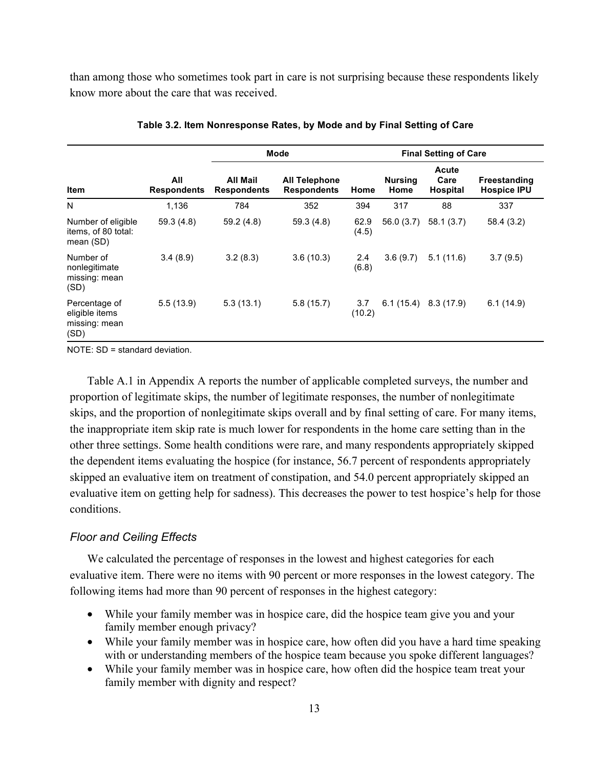than among those who sometimes took part in care is not surprising because these respondents likely know more about the care that was received.

|                                                          |                           |                                | <b>Mode</b>                                | <b>Final Setting of Care</b> |                        |                                  |                                           |  |  |
|----------------------------------------------------------|---------------------------|--------------------------------|--------------------------------------------|------------------------------|------------------------|----------------------------------|-------------------------------------------|--|--|
| Item                                                     | All<br><b>Respondents</b> | All Mail<br><b>Respondents</b> | <b>All Telephone</b><br><b>Respondents</b> | Home                         | <b>Nursing</b><br>Home | Acute<br>Care<br><b>Hospital</b> | <b>Freestanding</b><br><b>Hospice IPU</b> |  |  |
| N                                                        | 1,136                     | 784                            | 352                                        | 394                          | 317                    | 88                               | 337                                       |  |  |
| Number of eligible<br>items, of 80 total:<br>mean (SD)   | 59.3(4.8)                 | 59.2(4.8)                      | 59.3(4.8)                                  | 62.9<br>(4.5)                | 56.0 (3.7)             | 58.1(3.7)                        | 58.4 (3.2)                                |  |  |
| Number of<br>nonlegitimate<br>missing: mean<br>(SD)      | 3.4(8.9)                  | 3.2(8.3)                       | 3.6(10.3)                                  | 2.4<br>(6.8)                 | 3.6(9.7)               | 5.1(11.6)                        | 3.7(9.5)                                  |  |  |
| Percentage of<br>eligible items<br>missing: mean<br>(SD) | 5.5(13.9)                 | 5.3(13.1)                      | 5.8(15.7)                                  | 3.7<br>(10.2)                | 6.1(15.4)              | 8.3 (17.9)                       | 6.1(14.9)                                 |  |  |

 **Table 3.2. Item Nonresponse Rates, by Mode and by Final Setting of Care** 

NOTE: SD = standard deviation.

 Table A.1 in Appendix A reports the number of applicable completed surveys, the number and the dependent items evaluating the hospice (for instance, 56.7 percent of respondents appropriately skipped an evaluative item on treatment of constipation, and 54.0 percent appropriately skipped an proportion of legitimate skips, the number of legitimate responses, the number of nonlegitimate skips, and the proportion of nonlegitimate skips overall and by final setting of care. For many items, the inappropriate item skip rate is much lower for respondents in the home care setting than in the other three settings. Some health conditions were rare, and many respondents appropriately skipped evaluative item on getting help for sadness). This decreases the power to test hospice's help for those conditions.

#### *Floor and Ceiling Effects*

 We calculated the percentage of responses in the lowest and highest categories for each evaluative item. There were no items with 90 percent or more responses in the lowest category. The following items had more than 90 percent of responses in the highest category:

- While your family member was in hospice care, did the hospice team give you and your family member enough privacy?
- While your family member was in hospice care, how often did you have a hard time speaking with or understanding members of the hospice team because you spoke different languages?
- While your family member was in hospice care, how often did the hospice team treat your family member with dignity and respect?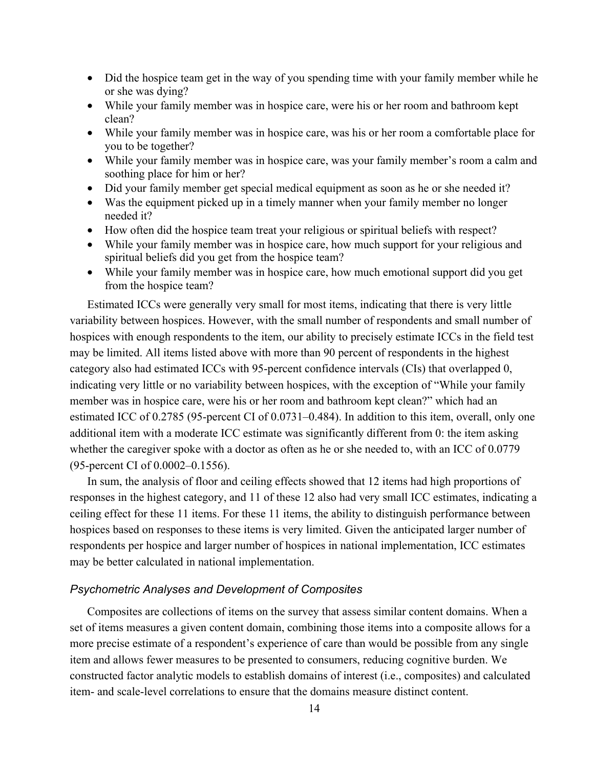- Did the hospice team get in the way of you spending time with your family member while he or she was dying?
- While your family member was in hospice care, were his or her room and bathroom kept clean?
- While your family member was in hospice care, was his or her room a comfortable place for you to be together?
- While your family member was in hospice care, was your family member's room a calm and soothing place for him or her?
- Did your family member get special medical equipment as soon as he or she needed it?
- Was the equipment picked up in a timely manner when your family member no longer needed it?
- How often did the hospice team treat your religious or spiritual beliefs with respect?
- While your family member was in hospice care, how much support for your religious and spiritual beliefs did you get from the hospice team?
- While your family member was in hospice care, how much emotional support did you get from the hospice team?

 may be limited. All items listed above with more than 90 percent of respondents in the highest category also had estimated ICCs with 95-percent confidence intervals (CIs) that overlapped 0, estimated ICC of 0.2785 (95-percent CI of 0.0731–0.484). In addition to this item, overall, only one whether the caregiver spoke with a doctor as often as he or she needed to, with an ICC of 0.0779 Estimated ICCs were generally very small for most items, indicating that there is very little variability between hospices. However, with the small number of respondents and small number of hospices with enough respondents to the item, our ability to precisely estimate ICCs in the field test indicating very little or no variability between hospices, with the exception of "While your family member was in hospice care, were his or her room and bathroom kept clean?" which had an additional item with a moderate ICC estimate was significantly different from 0: the item asking (95-percent CI of 0.0002–0.1556).

 In sum, the analysis of floor and ceiling effects showed that 12 items had high proportions of responses in the highest category, and 11 of these 12 also had very small ICC estimates, indicating a ceiling effect for these 11 items. For these 11 items, the ability to distinguish performance between hospices based on responses to these items is very limited. Given the anticipated larger number of respondents per hospice and larger number of hospices in national implementation, ICC estimates may be better calculated in national implementation.

#### *Psychometric Analyses and Development of Composites*

 Composites are collections of items on the survey that assess similar content domains. When a item- and scale-level correlations to ensure that the domains measure distinct content. set of items measures a given content domain, combining those items into a composite allows for a more precise estimate of a respondent's experience of care than would be possible from any single item and allows fewer measures to be presented to consumers, reducing cognitive burden. We constructed factor analytic models to establish domains of interest (i.e., composites) and calculated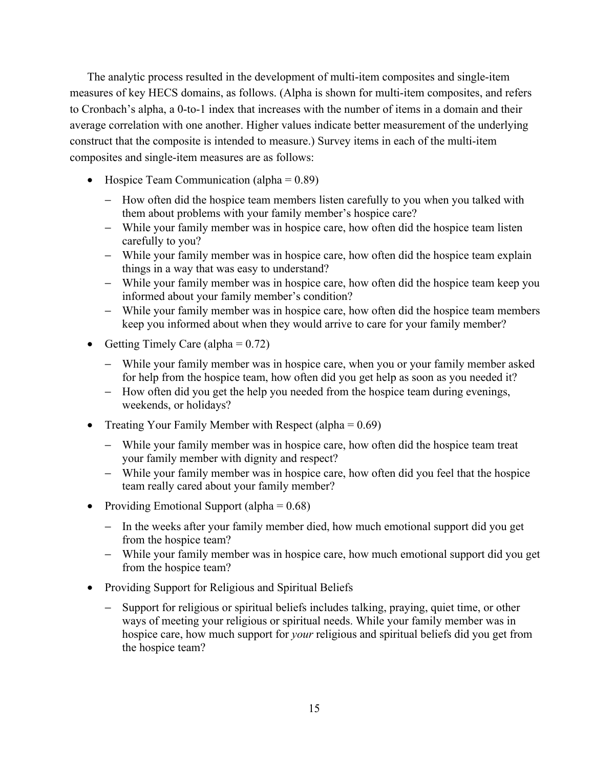The analytic process resulted in the development of multi-item composites and single-item construct that the composite is intended to measure.) Survey items in each of the multi-item composites and single-item measures are as follows: measures of key HECS domains, as follows. (Alpha is shown for multi-item composites, and refers to Cronbach's alpha, a 0-to-1 index that increases with the number of items in a domain and their average correlation with one another. Higher values indicate better measurement of the underlying

- Hospice Team Communication (alpha =  $0.89$ )
	- them about problems with your family member's hospice care? − How often did the hospice team members listen carefully to you when you talked with
	- − While your family member was in hospice care, how often did the hospice team listen carefully to you?
	- − While your family member was in hospice care, how often did the hospice team explain things in a way that was easy to understand?
	- − While your family member was in hospice care, how often did the hospice team keep you informed about your family member's condition?
	- − While your family member was in hospice care, how often did the hospice team members keep you informed about when they would arrive to care for your family member?
- Getting Timely Care (alpha =  $0.72$ )
	- − While your family member was in hospice care, when you or your family member asked for help from the hospice team, how often did you get help as soon as you needed it?
	- weekends, or holidays? − How often did you get the help you needed from the hospice team during evenings,
- Treating Your Family Member with Respect (alpha =  $0.69$ )
	- − While your family member was in hospice care, how often did the hospice team treat your family member with dignity and respect?
	- − While your family member was in hospice care, how often did you feel that the hospice team really cared about your family member?
- Providing Emotional Support (alpha  $= 0.68$ )
	- from the hospice team? − In the weeks after your family member died, how much emotional support did you get
	- from the hospice team? − While your family member was in hospice care, how much emotional support did you get
- Providing Support for Religious and Spiritual Beliefs
	- hospice care, how much support for *your* religious and spiritual beliefs did you get from − Support for religious or spiritual beliefs includes talking, praying, quiet time, or other ways of meeting your religious or spiritual needs. While your family member was in the hospice team?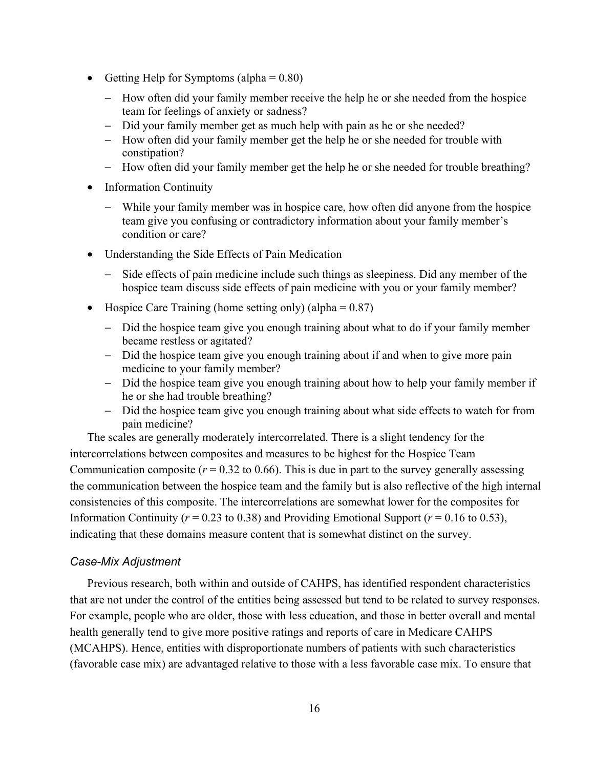- Getting Help for Symptoms (alpha  $= 0.80$ )
	- − How often did your family member receive the help he or she needed from the hospice team for feelings of anxiety or sadness?
	- − Did your family member get as much help with pain as he or she needed?
	- − How often did your family member get the help he or she needed for trouble with constipation?
	- − How often did your family member get the help he or she needed for trouble breathing?
- Information Continuity
	- − While your family member was in hospice care, how often did anyone from the hospice team give you confusing or contradictory information about your family member's condition or care?
- • Understanding the Side Effects of Pain Medication
	- − Side effects of pain medicine include such things as sleepiness. Did any member of the hospice team discuss side effects of pain medicine with you or your family member?
- Hospice Care Training (home setting only) (alpha  $= 0.87$ )
	- − Did the hospice team give you enough training about what to do if your family member became restless or agitated?
	- − Did the hospice team give you enough training about if and when to give more pain medicine to your family member?
	- − Did the hospice team give you enough training about how to help your family member if he or she had trouble breathing?
	- pain medicine? − Did the hospice team give you enough training about what side effects to watch for from

 intercorrelations between composites and measures to be highest for the Hospice Team Communication composite ( $r = 0.32$  to 0.66). This is due in part to the survey generally assessing consistencies of this composite. The intercorrelations are somewhat lower for the composites for Information Continuity ( $r = 0.23$  to 0.38) and Providing Emotional Support ( $r = 0.16$  to 0.53), The scales are generally moderately intercorrelated. There is a slight tendency for the the communication between the hospice team and the family but is also reflective of the high internal indicating that these domains measure content that is somewhat distinct on the survey.

#### *Case-Mix Adjustment*

Previous research, both within and outside of CAHPS, has identified respondent characteristics that are not under the control of the entities being assessed but tend to be related to survey responses. For example, people who are older, those with less education, and those in better overall and mental health generally tend to give more positive ratings and reports of care in Medicare CAHPS (MCAHPS). Hence, entities with disproportionate numbers of patients with such characteristics (favorable case mix) are advantaged relative to those with a less favorable case mix. To ensure that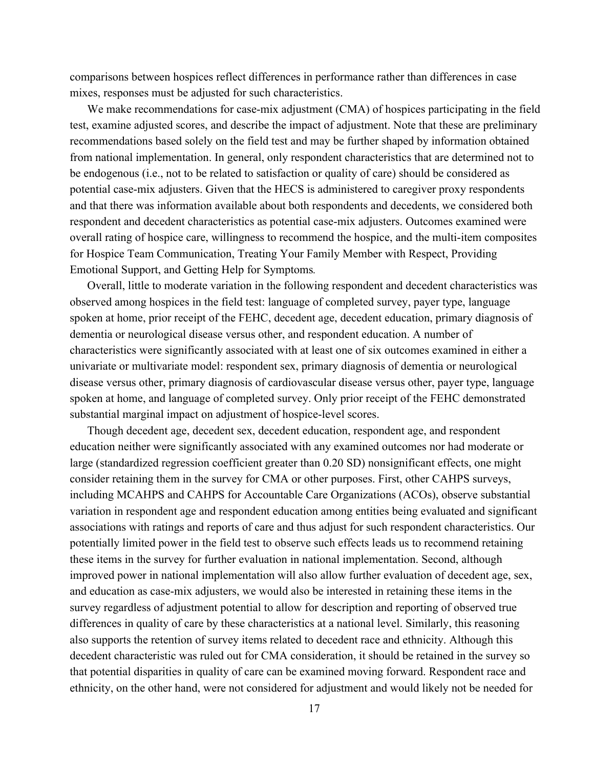comparisons between hospices reflect differences in performance rather than differences in case mixes, responses must be adjusted for such characteristics.

 overall rating of hospice care, willingness to recommend the hospice, and the multi-item composites We make recommendations for case-mix adjustment (CMA) of hospices participating in the field test, examine adjusted scores, and describe the impact of adjustment. Note that these are preliminary recommendations based solely on the field test and may be further shaped by information obtained from national implementation. In general, only respondent characteristics that are determined not to be endogenous (i.e., not to be related to satisfaction or quality of care) should be considered as potential case-mix adjusters. Given that the HECS is administered to caregiver proxy respondents and that there was information available about both respondents and decedents, we considered both respondent and decedent characteristics as potential case-mix adjusters. Outcomes examined were for Hospice Team Communication, Treating Your Family Member with Respect, Providing Emotional Support, and Getting Help for Symptoms*.* 

 Overall, little to moderate variation in the following respondent and decedent characteristics was dementia or neurological disease versus other, and respondent education. A number of disease versus other, primary diagnosis of cardiovascular disease versus other, payer type, language observed among hospices in the field test: language of completed survey, payer type, language spoken at home, prior receipt of the FEHC, decedent age, decedent education, primary diagnosis of characteristics were significantly associated with at least one of six outcomes examined in either a univariate or multivariate model: respondent sex, primary diagnosis of dementia or neurological spoken at home, and language of completed survey. Only prior receipt of the FEHC demonstrated substantial marginal impact on adjustment of hospice-level scores.

Though decedent age, decedent sex, decedent education, respondent age, and respondent education neither were significantly associated with any examined outcomes nor had moderate or large (standardized regression coefficient greater than 0.20 SD) nonsignificant effects, one might consider retaining them in the survey for CMA or other purposes. First, other CAHPS surveys, including MCAHPS and CAHPS for Accountable Care Organizations (ACOs), observe substantial variation in respondent age and respondent education among entities being evaluated and significant associations with ratings and reports of care and thus adjust for such respondent characteristics. Our potentially limited power in the field test to observe such effects leads us to recommend retaining these items in the survey for further evaluation in national implementation. Second, although improved power in national implementation will also allow further evaluation of decedent age, sex, and education as case-mix adjusters, we would also be interested in retaining these items in the survey regardless of adjustment potential to allow for description and reporting of observed true differences in quality of care by these characteristics at a national level. Similarly, this reasoning also supports the retention of survey items related to decedent race and ethnicity. Although this decedent characteristic was ruled out for CMA consideration, it should be retained in the survey so that potential disparities in quality of care can be examined moving forward. Respondent race and ethnicity, on the other hand, were not considered for adjustment and would likely not be needed for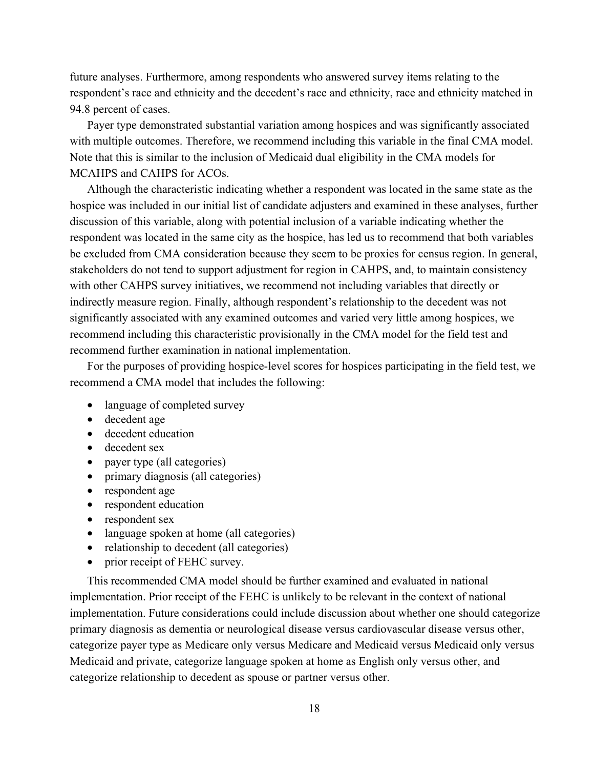94.8 percent of cases. future analyses. Furthermore, among respondents who answered survey items relating to the respondent's race and ethnicity and the decedent's race and ethnicity, race and ethnicity matched in

 MCAHPS and CAHPS for ACOs. Payer type demonstrated substantial variation among hospices and was significantly associated with multiple outcomes. Therefore, we recommend including this variable in the final CMA model. Note that this is similar to the inclusion of Medicaid dual eligibility in the CMA models for

 stakeholders do not tend to support adjustment for region in CAHPS, and, to maintain consistency Although the characteristic indicating whether a respondent was located in the same state as the hospice was included in our initial list of candidate adjusters and examined in these analyses, further discussion of this variable, along with potential inclusion of a variable indicating whether the respondent was located in the same city as the hospice, has led us to recommend that both variables be excluded from CMA consideration because they seem to be proxies for census region. In general, with other CAHPS survey initiatives, we recommend not including variables that directly or indirectly measure region. Finally, although respondent's relationship to the decedent was not significantly associated with any examined outcomes and varied very little among hospices, we recommend including this characteristic provisionally in the CMA model for the field test and recommend further examination in national implementation.

 recommend a CMA model that includes the following: For the purposes of providing hospice-level scores for hospices participating in the field test, we

- language of completed survey
- decedent age
- decedent education
- decedent sex
- payer type (all categories)
- primary diagnosis (all categories)
- respondent age
- respondent education
- respondent sex
- language spoken at home (all categories)
- relationship to decedent (all categories)
- prior receipt of FEHC survey.

 primary diagnosis as dementia or neurological disease versus cardiovascular disease versus other, categorize payer type as Medicare only versus Medicare and Medicaid versus Medicaid only versus Medicaid and private, categorize language spoken at home as English only versus other, and categorize relationship to decedent as spouse or partner versus other. This recommended CMA model should be further examined and evaluated in national implementation. Prior receipt of the FEHC is unlikely to be relevant in the context of national implementation. Future considerations could include discussion about whether one should categorize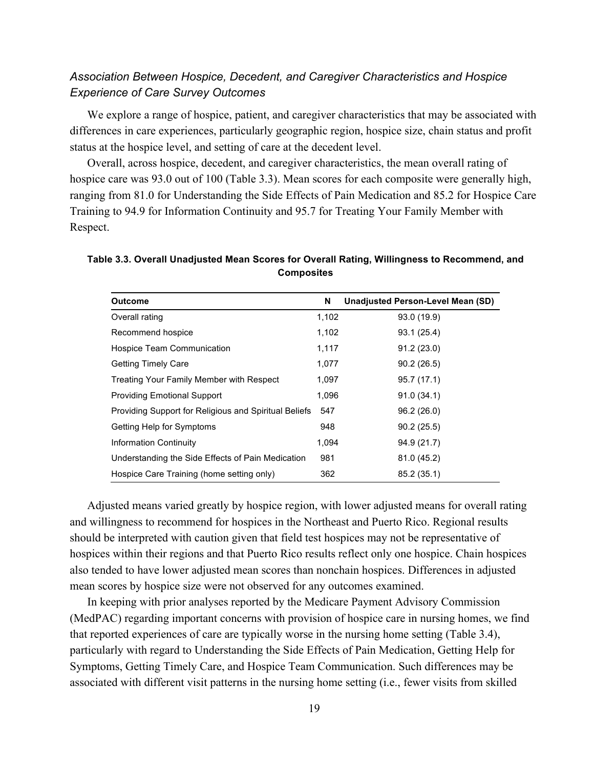#### *Association Between Hospice, Decedent, and Caregiver Characteristics and Hospice Experience of Care Survey Outcomes*

We explore a range of hospice, patient, and caregiver characteristics that may be associated with differences in care experiences, particularly geographic region, hospice size, chain status and profit status at the hospice level, and setting of care at the decedent level.

 hospice care was 93.0 out of 100 (Table 3.3). Mean scores for each composite were generally high, Overall, across hospice, decedent, and caregiver characteristics, the mean overall rating of ranging from 81.0 for Understanding the Side Effects of Pain Medication and 85.2 for Hospice Care Training to 94.9 for Information Continuity and 95.7 for Treating Your Family Member with Respect.

**Table 3.3. Overall Unadjusted Mean Scores for Overall Rating, Willingness to Recommend, and Composites** 

| <b>Outcome</b>                                        | N     | <b>Unadjusted Person-Level Mean (SD)</b> |
|-------------------------------------------------------|-------|------------------------------------------|
| Overall rating                                        | 1,102 | 93.0 (19.9)                              |
| Recommend hospice                                     | 1,102 | 93.1 (25.4)                              |
| Hospice Team Communication                            | 1,117 | 91.2(23.0)                               |
| <b>Getting Timely Care</b>                            | 1,077 | 90.2(26.5)                               |
| Treating Your Family Member with Respect              | 1,097 | 95.7(17.1)                               |
| <b>Providing Emotional Support</b>                    | 1,096 | 91.0(34.1)                               |
| Providing Support for Religious and Spiritual Beliefs | 547   | 96.2 (26.0)                              |
| Getting Help for Symptoms                             | 948   | 90.2(25.5)                               |
| <b>Information Continuity</b>                         | 1,094 | 94.9 (21.7)                              |
| Understanding the Side Effects of Pain Medication     | 981   | 81.0 (45.2)                              |
| Hospice Care Training (home setting only)             | 362   | 85.2 (35.1)                              |

 should be interpreted with caution given that field test hospices may not be representative of Adjusted means varied greatly by hospice region, with lower adjusted means for overall rating and willingness to recommend for hospices in the Northeast and Puerto Rico. Regional results hospices within their regions and that Puerto Rico results reflect only one hospice. Chain hospices also tended to have lower adjusted mean scores than nonchain hospices. Differences in adjusted mean scores by hospice size were not observed for any outcomes examined.

 that reported experiences of care are typically worse in the nursing home setting (Table 3.4), In keeping with prior analyses reported by the Medicare Payment Advisory Commission (MedPAC) regarding important concerns with provision of hospice care in nursing homes, we find particularly with regard to Understanding the Side Effects of Pain Medication, Getting Help for Symptoms, Getting Timely Care, and Hospice Team Communication. Such differences may be associated with different visit patterns in the nursing home setting (i.e., fewer visits from skilled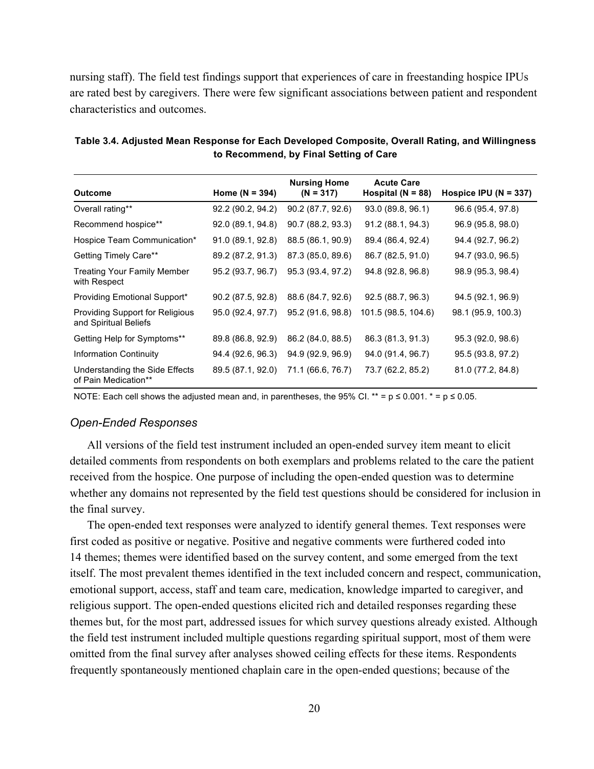nursing staff). The field test findings support that experiences of care in freestanding hospice IPUs are rated best by caregivers. There were few significant associations between patient and respondent characteristics and outcomes.

|                                                          |                   | <b>Nursing Home</b> | <b>Acute Care</b>     |                           |
|----------------------------------------------------------|-------------------|---------------------|-----------------------|---------------------------|
| <b>Outcome</b>                                           | Home $(N = 394)$  | $(N = 317)$         | Hospital ( $N = 88$ ) | Hospice IPU ( $N = 337$ ) |
| Overall rating**                                         | 92.2 (90.2, 94.2) | 90.2 (87.7, 92.6)   | 93.0 (89.8, 96.1)     | 96.6 (95.4, 97.8)         |
| Recommend hospice**                                      | 92.0 (89.1, 94.8) | 90.7 (88.2, 93.3)   | 91.2 (88.1, 94.3)     | 96.9 (95.8, 98.0)         |
| Hospice Team Communication*                              | 91.0 (89.1, 92.8) | 88.5 (86.1, 90.9)   | 89.4 (86.4, 92.4)     | 94.4 (92.7, 96.2)         |
| Getting Timely Care**                                    | 89.2 (87.2, 91.3) | 87.3 (85.0, 89.6)   | 86.7 (82.5, 91.0)     | 94.7 (93.0, 96.5)         |
| <b>Treating Your Family Member</b><br>with Respect       | 95.2 (93.7, 96.7) | 95.3 (93.4, 97.2)   | 94.8 (92.8, 96.8)     | 98.9 (95.3, 98.4)         |
| Providing Emotional Support*                             | 90.2 (87.5, 92.8) | 88.6 (84.7, 92.6)   | 92.5(88.7, 96.3)      | 94.5 (92.1, 96.9)         |
| Providing Support for Religious<br>and Spiritual Beliefs | 95.0 (92.4, 97.7) | 95.2 (91.6, 98.8)   | 101.5 (98.5, 104.6)   | 98.1 (95.9, 100.3)        |
| Getting Help for Symptoms**                              | 89.8 (86.8, 92.9) | 86.2 (84.0, 88.5)   | 86.3 (81.3, 91.3)     | 95.3 (92.0, 98.6)         |
| <b>Information Continuity</b>                            | 94.4 (92.6, 96.3) | 94.9 (92.9, 96.9)   | 94.0 (91.4, 96.7)     | 95.5 (93.8, 97.2)         |
| Understanding the Side Effects<br>of Pain Medication**   | 89.5 (87.1, 92.0) | 71.1 (66.6, 76.7)   | 73.7 (62.2, 85.2)     | 81.0 (77.2, 84.8)         |

 **Table 3.4. Adjusted Mean Response for Each Developed Composite, Overall Rating, and Willingness to Recommend, by Final Setting of Care** 

NOTE: Each cell shows the adjusted mean and, in parentheses, the 95% CI. \*\* =  $p \le 0.001$ . \* =  $p \le 0.05$ .

#### *Open-Ended Responses*

 All versions of the field test instrument included an open-ended survey item meant to elicit whether any domains not represented by the field test questions should be considered for inclusion in detailed comments from respondents on both exemplars and problems related to the care the patient received from the hospice. One purpose of including the open-ended question was to determine the final survey.

 the field test instrument included multiple questions regarding spiritual support, most of them were frequently spontaneously mentioned chaplain care in the open-ended questions; because of the The open-ended text responses were analyzed to identify general themes. Text responses were first coded as positive or negative. Positive and negative comments were furthered coded into 14 themes; themes were identified based on the survey content, and some emerged from the text itself. The most prevalent themes identified in the text included concern and respect, communication, emotional support, access, staff and team care, medication, knowledge imparted to caregiver, and religious support. The open-ended questions elicited rich and detailed responses regarding these themes but, for the most part, addressed issues for which survey questions already existed. Although omitted from the final survey after analyses showed ceiling effects for these items. Respondents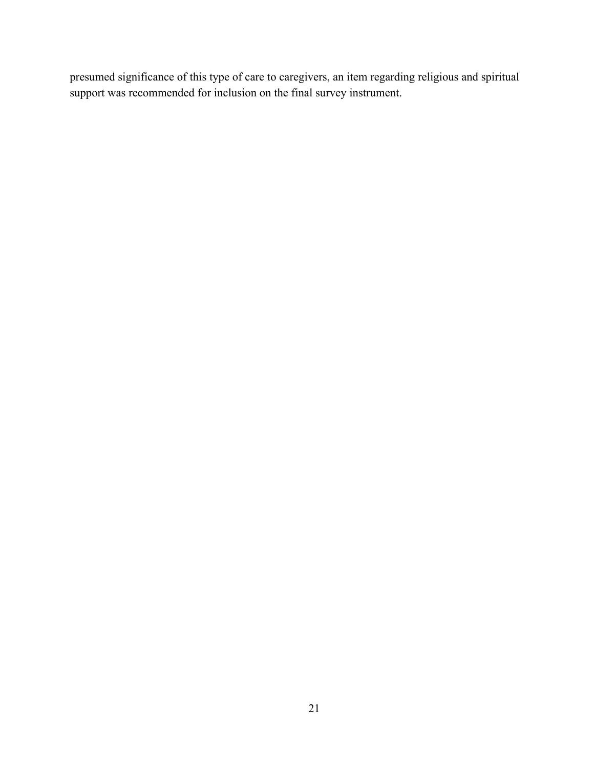presumed significance of this type of care to caregivers, an item regarding religious and spiritual support was recommended for inclusion on the final survey instrument.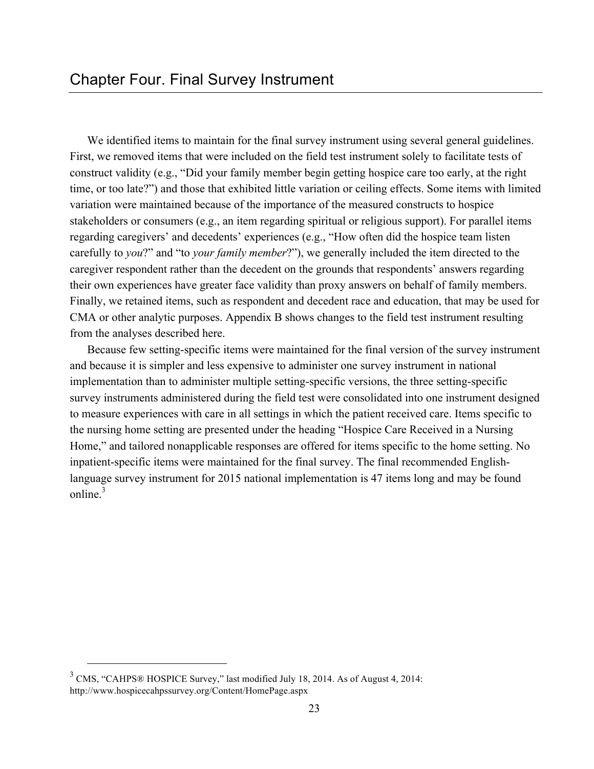First, we removed items that were included on the field test instrument solely to facilitate tests of CMA or other analytic purposes. Appendix B shows changes to the field test instrument resulting We identified items to maintain for the final survey instrument using several general guidelines. construct validity (e.g., "Did your family member begin getting hospice care too early, at the right time, or too late?") and those that exhibited little variation or ceiling effects. Some items with limited variation were maintained because of the importance of the measured constructs to hospice stakeholders or consumers (e.g., an item regarding spiritual or religious support). For parallel items regarding caregivers' and decedents' experiences (e.g., "How often did the hospice team listen carefully to *you*?" and "to *your family member*?"), we generally included the item directed to the caregiver respondent rather than the decedent on the grounds that respondents' answers regarding their own experiences have greater face validity than proxy answers on behalf of family members. Finally, we retained items, such as respondent and decedent race and education, that may be used for from the analyses described here.

Because few setting-specific items were maintained for the final version of the survey instrument and because it is simpler and less expensive to administer one survey instrument in national implementation than to administer multiple setting-specific versions, the three setting-specific survey instruments administered during the field test were consolidated into one instrument designed to measure experiences with care in all settings in which the patient received care. Items specific to the nursing home setting are presented under the heading "Hospice Care Received in a Nursing Home," and tailored nonapplicable responses are offered for items specific to the home setting. No inpatient-specific items were maintained for the final survey. The final recommended Englishlanguage survey instrument for 2015 national implementation is 47 items long and may be found online $3$ 

<u>.</u>

 $3$  CMS, "CAHPS® HOSPICE Survey," last modified July 18, 2014. As of August 4, 2014: http://www.hospicecahpssurvey.org/Content/HomePage.aspx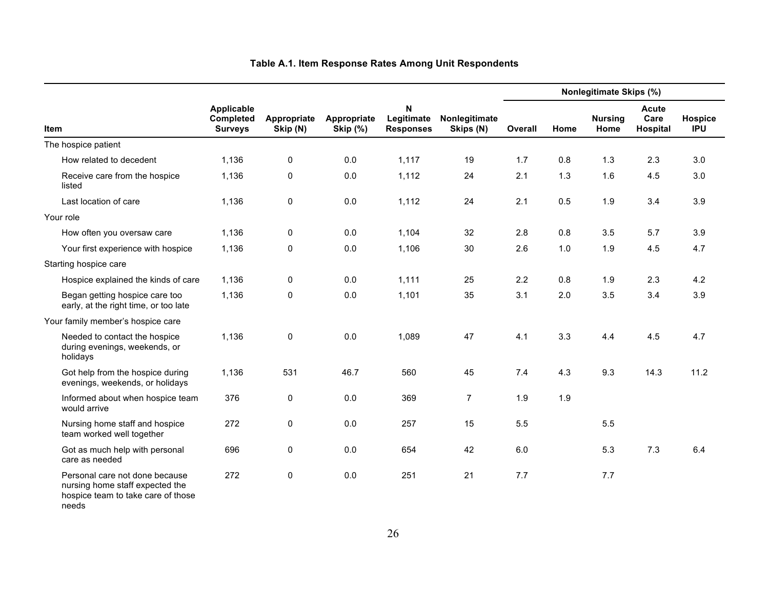|                                                                                                                  | Applicable<br>Completed<br><b>Surveys</b> |                         | Appropriate<br><b>Skip (%)</b> | N<br>Legitimate<br><b>Responses</b> | Nonlegitimate<br>Skips (N) | Nonlegitimate Skips (%) |      |                        |                                  |                       |
|------------------------------------------------------------------------------------------------------------------|-------------------------------------------|-------------------------|--------------------------------|-------------------------------------|----------------------------|-------------------------|------|------------------------|----------------------------------|-----------------------|
| <b>Item</b>                                                                                                      |                                           | Appropriate<br>Skip (N) |                                |                                     |                            | Overall                 | Home | <b>Nursing</b><br>Home | <b>Acute</b><br>Care<br>Hospital | Hospice<br><b>IPU</b> |
| The hospice patient                                                                                              |                                           |                         |                                |                                     |                            |                         |      |                        |                                  |                       |
| How related to decedent                                                                                          | 1,136                                     | $\mathbf 0$             | 0.0                            | 1,117                               | 19                         | 1.7                     | 0.8  | 1.3                    | 2.3                              | 3.0                   |
| Receive care from the hospice<br>listed                                                                          | 1,136                                     | 0                       | 0.0                            | 1,112                               | 24                         | 2.1                     | 1.3  | 1.6                    | 4.5                              | 3.0                   |
| Last location of care                                                                                            | 1,136                                     | $\pmb{0}$               | $0.0\,$                        | 1,112                               | 24                         | 2.1                     | 0.5  | 1.9                    | 3.4                              | 3.9                   |
| Your role                                                                                                        |                                           |                         |                                |                                     |                            |                         |      |                        |                                  |                       |
| How often you oversaw care                                                                                       | 1,136                                     | $\pmb{0}$               | 0.0                            | 1,104                               | 32                         | 2.8                     | 0.8  | 3.5                    | 5.7                              | 3.9                   |
| Your first experience with hospice                                                                               | 1,136                                     | $\mathbf 0$             | 0.0                            | 1,106                               | 30                         | 2.6                     | 1.0  | 1.9                    | 4.5                              | 4.7                   |
| Starting hospice care                                                                                            |                                           |                         |                                |                                     |                            |                         |      |                        |                                  |                       |
| Hospice explained the kinds of care                                                                              | 1,136                                     | $\mathbf 0$             | 0.0                            | 1,111                               | 25                         | 2.2                     | 0.8  | 1.9                    | 2.3                              | 4.2                   |
| Began getting hospice care too<br>early, at the right time, or too late                                          | 1,136                                     | $\mathbf 0$             | 0.0                            | 1,101                               | 35                         | 3.1                     | 2.0  | 3.5                    | 3.4                              | 3.9                   |
| Your family member's hospice care                                                                                |                                           |                         |                                |                                     |                            |                         |      |                        |                                  |                       |
| Needed to contact the hospice<br>during evenings, weekends, or<br>holidays                                       | 1,136                                     | $\pmb{0}$               | $0.0\,$                        | 1,089                               | 47                         | 4.1                     | 3.3  | 4.4                    | 4.5                              | 4.7                   |
| Got help from the hospice during<br>evenings, weekends, or holidays                                              | 1,136                                     | 531                     | 46.7                           | 560                                 | 45                         | 7.4                     | 4.3  | 9.3                    | 14.3                             | 11.2                  |
| Informed about when hospice team<br>would arrive                                                                 | 376                                       | $\pmb{0}$               | $0.0\,$                        | 369                                 | $\overline{7}$             | 1.9                     | 1.9  |                        |                                  |                       |
| Nursing home staff and hospice<br>team worked well together                                                      | 272                                       | $\pmb{0}$               | 0.0                            | 257                                 | 15                         | 5.5                     |      | 5.5                    |                                  |                       |
| Got as much help with personal<br>care as needed                                                                 | 696                                       | 0                       | 0.0                            | 654                                 | 42                         | 6.0                     |      | 5.3                    | 7.3                              | 6.4                   |
| Personal care not done because<br>nursing home staff expected the<br>hospice team to take care of those<br>needs | 272                                       | 0                       | 0.0                            | 251                                 | 21                         | 7.7                     |      | 7.7                    |                                  |                       |

#### **Table A.1. Item Response Rates Among Unit Respondents**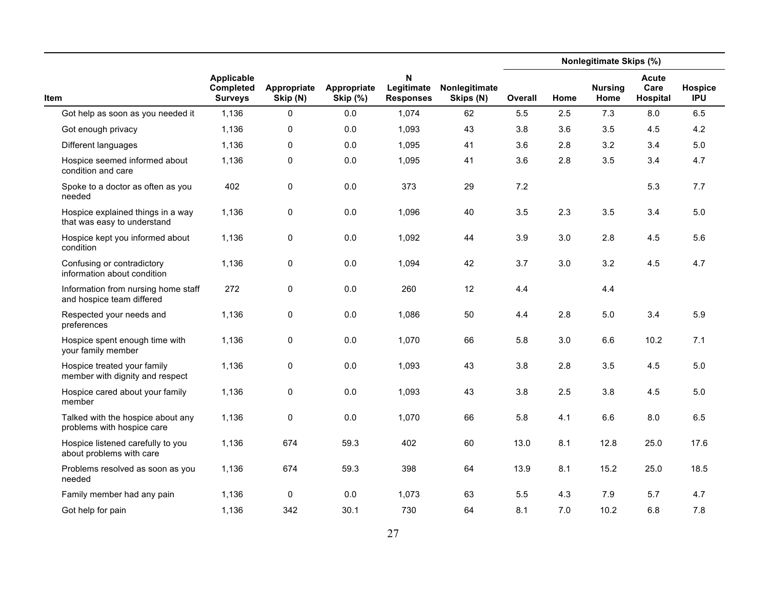|                                                                  |                                           |                         |                                | N<br>Legitimate<br><b>Responses</b> | Nonlegitimate<br>Skips (N) | <b>Nonlegitimate Skips (%)</b> |      |                        |                           |                       |  |
|------------------------------------------------------------------|-------------------------------------------|-------------------------|--------------------------------|-------------------------------------|----------------------------|--------------------------------|------|------------------------|---------------------------|-----------------------|--|
| Item                                                             | Applicable<br>Completed<br><b>Surveys</b> | Appropriate<br>Skip (N) | Appropriate<br><b>Skip (%)</b> |                                     |                            | <b>Overall</b>                 | Home | <b>Nursing</b><br>Home | Acute<br>Care<br>Hospital | Hospice<br><b>IPU</b> |  |
| Got help as soon as you needed it                                | 1,136                                     | 0                       | 0.0                            | 1,074                               | 62                         | 5.5                            | 2.5  | 7.3                    | 8.0                       | 6.5                   |  |
| Got enough privacy                                               | 1,136                                     | 0                       | 0.0                            | 1,093                               | 43                         | 3.8                            | 3.6  | 3.5                    | 4.5                       | 4.2                   |  |
| Different languages                                              | 1,136                                     | 0                       | 0.0                            | 1,095                               | 41                         | 3.6                            | 2.8  | 3.2                    | 3.4                       | 5.0                   |  |
| Hospice seemed informed about<br>condition and care              | 1,136                                     | 0                       | 0.0                            | 1,095                               | 41                         | 3.6                            | 2.8  | 3.5                    | 3.4                       | 4.7                   |  |
| Spoke to a doctor as often as you<br>needed                      | 402                                       | 0                       | 0.0                            | 373                                 | 29                         | 7.2                            |      |                        | 5.3                       | 7.7                   |  |
| Hospice explained things in a way<br>that was easy to understand | 1,136                                     | 0                       | 0.0                            | 1,096                               | 40                         | 3.5                            | 2.3  | 3.5                    | 3.4                       | 5.0                   |  |
| Hospice kept you informed about<br>condition                     | 1,136                                     | 0                       | 0.0                            | 1,092                               | 44                         | 3.9                            | 3.0  | 2.8                    | 4.5                       | 5.6                   |  |
| Confusing or contradictory<br>information about condition        | 1,136                                     | 0                       | 0.0                            | 1,094                               | 42                         | 3.7                            | 3.0  | 3.2                    | 4.5                       | 4.7                   |  |
| Information from nursing home staff<br>and hospice team differed | 272                                       | 0                       | 0.0                            | 260                                 | 12                         | 4.4                            |      | 4.4                    |                           |                       |  |
| Respected your needs and<br>preferences                          | 1,136                                     | 0                       | 0.0                            | 1,086                               | 50                         | 4.4                            | 2.8  | $5.0$                  | 3.4                       | 5.9                   |  |
| Hospice spent enough time with<br>your family member             | 1,136                                     | 0                       | 0.0                            | 1,070                               | 66                         | 5.8                            | 3.0  | 6.6                    | 10.2                      | 7.1                   |  |
| Hospice treated your family<br>member with dignity and respect   | 1,136                                     | 0                       | 0.0                            | 1,093                               | 43                         | 3.8                            | 2.8  | 3.5                    | 4.5                       | $5.0\,$               |  |
| Hospice cared about your family<br>member                        | 1,136                                     | 0                       | 0.0                            | 1,093                               | 43                         | 3.8                            | 2.5  | 3.8                    | 4.5                       | 5.0                   |  |
| Talked with the hospice about any<br>problems with hospice care  | 1,136                                     | 0                       | 0.0                            | 1,070                               | 66                         | 5.8                            | 4.1  | 6.6                    | 8.0                       | 6.5                   |  |
| Hospice listened carefully to you<br>about problems with care    | 1,136                                     | 674                     | 59.3                           | 402                                 | 60                         | 13.0                           | 8.1  | 12.8                   | 25.0                      | 17.6                  |  |
| Problems resolved as soon as you<br>needed                       | 1,136                                     | 674                     | 59.3                           | 398                                 | 64                         | 13.9                           | 8.1  | 15.2                   | 25.0                      | 18.5                  |  |
| Family member had any pain                                       | 1,136                                     | 0                       | 0.0                            | 1,073                               | 63                         | 5.5                            | 4.3  | 7.9                    | 5.7                       | 4.7                   |  |
| Got help for pain                                                | 1,136                                     | 342                     | 30.1                           | 730                                 | 64                         | 8.1                            | 7.0  | 10.2                   | 6.8                       | 7.8                   |  |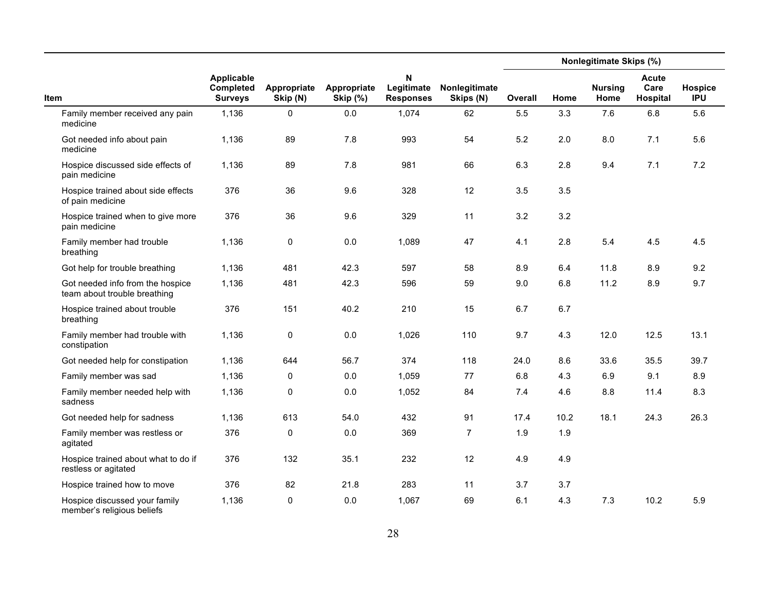|                                                                  |                                                  |                         |                                | $\boldsymbol{\mathsf{N}}$<br>Legitimate<br><b>Responses</b> | Nonlegitimate<br>Skips (N) | <b>Nonlegitimate Skips (%)</b> |      |                        |                                  |                       |
|------------------------------------------------------------------|--------------------------------------------------|-------------------------|--------------------------------|-------------------------------------------------------------|----------------------------|--------------------------------|------|------------------------|----------------------------------|-----------------------|
| <b>Item</b>                                                      | Applicable<br><b>Completed</b><br><b>Surveys</b> | Appropriate<br>Skip (N) | Appropriate<br><b>Skip (%)</b> |                                                             |                            | Overall                        | Home | <b>Nursing</b><br>Home | <b>Acute</b><br>Care<br>Hospital | Hospice<br><b>IPU</b> |
| Family member received any pain<br>medicine                      | 1,136                                            | $\mathsf 0$             | 0.0                            | 1,074                                                       | 62                         | 5.5                            | 3.3  | 7.6                    | 6.8                              | 5.6                   |
| Got needed info about pain<br>medicine                           | 1,136                                            | 89                      | 7.8                            | 993                                                         | 54                         | 5.2                            | 2.0  | 8.0                    | 7.1                              | 5.6                   |
| Hospice discussed side effects of<br>pain medicine               | 1,136                                            | 89                      | 7.8                            | 981                                                         | 66                         | 6.3                            | 2.8  | 9.4                    | 7.1                              | 7.2                   |
| Hospice trained about side effects<br>of pain medicine           | 376                                              | 36                      | 9.6                            | 328                                                         | 12                         | 3.5                            | 3.5  |                        |                                  |                       |
| Hospice trained when to give more<br>pain medicine               | 376                                              | 36                      | 9.6                            | 329                                                         | 11                         | 3.2                            | 3.2  |                        |                                  |                       |
| Family member had trouble<br>breathing                           | 1,136                                            | $\mathsf 0$             | 0.0                            | 1,089                                                       | 47                         | 4.1                            | 2.8  | 5.4                    | 4.5                              | 4.5                   |
| Got help for trouble breathing                                   | 1,136                                            | 481                     | 42.3                           | 597                                                         | 58                         | 8.9                            | 6.4  | 11.8                   | 8.9                              | 9.2                   |
| Got needed info from the hospice<br>team about trouble breathing | 1,136                                            | 481                     | 42.3                           | 596                                                         | 59                         | 9.0                            | 6.8  | 11.2                   | 8.9                              | 9.7                   |
| Hospice trained about trouble<br>breathing                       | 376                                              | 151                     | 40.2                           | 210                                                         | 15                         | 6.7                            | 6.7  |                        |                                  |                       |
| Family member had trouble with<br>constipation                   | 1,136                                            | $\pmb{0}$               | 0.0                            | 1,026                                                       | 110                        | 9.7                            | 4.3  | 12.0                   | 12.5                             | 13.1                  |
| Got needed help for constipation                                 | 1,136                                            | 644                     | 56.7                           | 374                                                         | 118                        | 24.0                           | 8.6  | 33.6                   | 35.5                             | 39.7                  |
| Family member was sad                                            | 1,136                                            | 0                       | 0.0                            | 1,059                                                       | 77                         | 6.8                            | 4.3  | 6.9                    | 9.1                              | 8.9                   |
| Family member needed help with<br>sadness                        | 1,136                                            | 0                       | 0.0                            | 1,052                                                       | 84                         | 7.4                            | 4.6  | 8.8                    | 11.4                             | 8.3                   |
| Got needed help for sadness                                      | 1,136                                            | 613                     | 54.0                           | 432                                                         | 91                         | 17.4                           | 10.2 | 18.1                   | 24.3                             | 26.3                  |
| Family member was restless or<br>agitated                        | 376                                              | 0                       | 0.0                            | 369                                                         | $\overline{7}$             | 1.9                            | 1.9  |                        |                                  |                       |
| Hospice trained about what to do if<br>restless or agitated      | 376                                              | 132                     | 35.1                           | 232                                                         | 12                         | 4.9                            | 4.9  |                        |                                  |                       |
| Hospice trained how to move                                      | 376                                              | 82                      | 21.8                           | 283                                                         | 11                         | 3.7                            | 3.7  |                        |                                  |                       |
| Hospice discussed your family<br>member's religious beliefs      | 1,136                                            | $\mathbf 0$             | 0.0                            | 1,067                                                       | 69                         | 6.1                            | 4.3  | 7.3                    | 10.2                             | 5.9                   |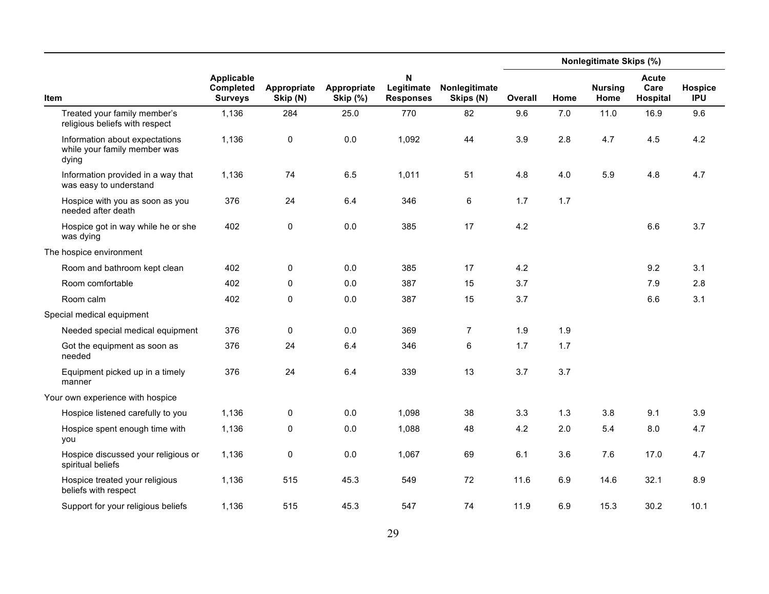|                                                                         | <b>Applicable</b><br>Completed<br><b>Surveys</b> | Appropriate<br>Skip (N) | Appropriate<br><b>Skip (%)</b> | Ν<br>Legitimate<br><b>Responses</b> | Nonlegitimate<br>Skips (N) | Nonlegitimate Skips (%) |      |                        |                                  |                       |  |
|-------------------------------------------------------------------------|--------------------------------------------------|-------------------------|--------------------------------|-------------------------------------|----------------------------|-------------------------|------|------------------------|----------------------------------|-----------------------|--|
| Item                                                                    |                                                  |                         |                                |                                     |                            | Overall                 | Home | <b>Nursing</b><br>Home | <b>Acute</b><br>Care<br>Hospital | Hospice<br><b>IPU</b> |  |
| Treated your family member's<br>religious beliefs with respect          | 1,136                                            | 284                     | 25.0                           | 770                                 | 82                         | 9.6                     | 7.0  | 11.0                   | 16.9                             | 9.6                   |  |
| Information about expectations<br>while your family member was<br>dying | 1,136                                            | $\mathsf 0$             | 0.0                            | 1,092                               | 44                         | 3.9                     | 2.8  | 4.7                    | 4.5                              | 4.2                   |  |
| Information provided in a way that<br>was easy to understand            | 1,136                                            | 74                      | 6.5                            | 1,011                               | 51                         | 4.8                     | 4.0  | 5.9                    | 4.8                              | 4.7                   |  |
| Hospice with you as soon as you<br>needed after death                   | 376                                              | 24                      | 6.4                            | 346                                 | 6                          | 1.7                     | 1.7  |                        |                                  |                       |  |
| Hospice got in way while he or she<br>was dying                         | 402                                              | 0                       | 0.0                            | 385                                 | 17                         | 4.2                     |      |                        | 6.6                              | 3.7                   |  |
| The hospice environment                                                 |                                                  |                         |                                |                                     |                            |                         |      |                        |                                  |                       |  |
| Room and bathroom kept clean                                            | 402                                              | 0                       | 0.0                            | 385                                 | 17                         | 4.2                     |      |                        | 9.2                              | 3.1                   |  |
| Room comfortable                                                        | 402                                              | 0                       | 0.0                            | 387                                 | 15                         | 3.7                     |      |                        | 7.9                              | 2.8                   |  |
| Room calm                                                               | 402                                              | 0                       | 0.0                            | 387                                 | 15                         | 3.7                     |      |                        | 6.6                              | 3.1                   |  |
| Special medical equipment                                               |                                                  |                         |                                |                                     |                            |                         |      |                        |                                  |                       |  |
| Needed special medical equipment                                        | 376                                              | 0                       | 0.0                            | 369                                 | 7                          | 1.9                     | 1.9  |                        |                                  |                       |  |
| Got the equipment as soon as<br>needed                                  | 376                                              | 24                      | 6.4                            | 346                                 | 6                          | 1.7                     | 1.7  |                        |                                  |                       |  |
| Equipment picked up in a timely<br>manner                               | 376                                              | 24                      | 6.4                            | 339                                 | 13                         | 3.7                     | 3.7  |                        |                                  |                       |  |
| Your own experience with hospice                                        |                                                  |                         |                                |                                     |                            |                         |      |                        |                                  |                       |  |
| Hospice listened carefully to you                                       | 1,136                                            | 0                       | 0.0                            | 1,098                               | 38                         | 3.3                     | 1.3  | 3.8                    | 9.1                              | 3.9                   |  |
| Hospice spent enough time with<br>you                                   | 1,136                                            | 0                       | 0.0                            | 1,088                               | 48                         | 4.2                     | 2.0  | 5.4                    | 8.0                              | 4.7                   |  |
| Hospice discussed your religious or<br>spiritual beliefs                | 1,136                                            | 0                       | 0.0                            | 1,067                               | 69                         | 6.1                     | 3.6  | 7.6                    | 17.0                             | 4.7                   |  |
| Hospice treated your religious<br>beliefs with respect                  | 1,136                                            | 515                     | 45.3                           | 549                                 | 72                         | 11.6                    | 6.9  | 14.6                   | 32.1                             | 8.9                   |  |
| Support for your religious beliefs                                      | 1,136                                            | 515                     | 45.3                           | 547                                 | 74                         | 11.9                    | 6.9  | 15.3                   | 30.2                             | 10.1                  |  |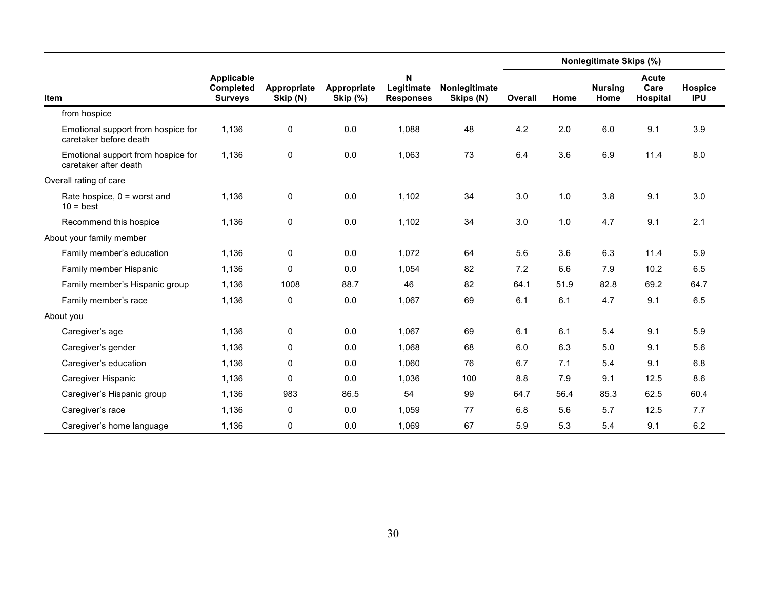|                                                              |                                                  |                         |                                |                                     |                            | Nonlegitimate Skips (%) |      |                        |                                  |                       |  |
|--------------------------------------------------------------|--------------------------------------------------|-------------------------|--------------------------------|-------------------------------------|----------------------------|-------------------------|------|------------------------|----------------------------------|-----------------------|--|
| <b>Item</b>                                                  | <b>Applicable</b><br>Completed<br><b>Surveys</b> | Appropriate<br>Skip (N) | Appropriate<br><b>Skip (%)</b> | N<br>Legitimate<br><b>Responses</b> | Nonlegitimate<br>Skips (N) | Overall                 | Home | <b>Nursing</b><br>Home | <b>Acute</b><br>Care<br>Hospital | Hospice<br><b>IPU</b> |  |
| from hospice                                                 |                                                  |                         |                                |                                     |                            |                         |      |                        |                                  |                       |  |
| Emotional support from hospice for<br>caretaker before death | 1,136                                            | $\pmb{0}$               | 0.0                            | 1,088                               | 48                         | 4.2                     | 2.0  | 6.0                    | 9.1                              | 3.9                   |  |
| Emotional support from hospice for<br>caretaker after death  | 1,136                                            | 0                       | 0.0                            | 1,063                               | 73                         | 6.4                     | 3.6  | 6.9                    | 11.4                             | 8.0                   |  |
| Overall rating of care                                       |                                                  |                         |                                |                                     |                            |                         |      |                        |                                  |                       |  |
| Rate hospice, $0 =$ worst and<br>$10 = best$                 | 1,136                                            | 0                       | 0.0                            | 1,102                               | 34                         | 3.0                     | 1.0  | 3.8                    | 9.1                              | 3.0                   |  |
| Recommend this hospice                                       | 1,136                                            | 0                       | 0.0                            | 1,102                               | 34                         | 3.0                     | 1.0  | 4.7                    | 9.1                              | 2.1                   |  |
| About your family member                                     |                                                  |                         |                                |                                     |                            |                         |      |                        |                                  |                       |  |
| Family member's education                                    | 1,136                                            | 0                       | 0.0                            | 1,072                               | 64                         | 5.6                     | 3.6  | 6.3                    | 11.4                             | 5.9                   |  |
| Family member Hispanic                                       | 1,136                                            | 0                       | 0.0                            | 1,054                               | 82                         | 7.2                     | 6.6  | 7.9                    | 10.2                             | 6.5                   |  |
| Family member's Hispanic group                               | 1,136                                            | 1008                    | 88.7                           | 46                                  | 82                         | 64.1                    | 51.9 | 82.8                   | 69.2                             | 64.7                  |  |
| Family member's race                                         | 1,136                                            | 0                       | 0.0                            | 1,067                               | 69                         | 6.1                     | 6.1  | 4.7                    | 9.1                              | 6.5                   |  |
| About you                                                    |                                                  |                         |                                |                                     |                            |                         |      |                        |                                  |                       |  |
| Caregiver's age                                              | 1,136                                            | 0                       | 0.0                            | 1,067                               | 69                         | 6.1                     | 6.1  | 5.4                    | 9.1                              | 5.9                   |  |
| Caregiver's gender                                           | 1,136                                            | 0                       | 0.0                            | 1,068                               | 68                         | 6.0                     | 6.3  | 5.0                    | 9.1                              | 5.6                   |  |
| Caregiver's education                                        | 1,136                                            | 0                       | 0.0                            | 1,060                               | 76                         | 6.7                     | 7.1  | 5.4                    | 9.1                              | 6.8                   |  |
| Caregiver Hispanic                                           | 1,136                                            | 0                       | 0.0                            | 1,036                               | 100                        | 8.8                     | 7.9  | 9.1                    | 12.5                             | 8.6                   |  |
| Caregiver's Hispanic group                                   | 1,136                                            | 983                     | 86.5                           | 54                                  | 99                         | 64.7                    | 56.4 | 85.3                   | 62.5                             | 60.4                  |  |
| Caregiver's race                                             | 1,136                                            | 0                       | 0.0                            | 1,059                               | 77                         | 6.8                     | 5.6  | 5.7                    | 12.5                             | 7.7                   |  |
| Caregiver's home language                                    | 1,136                                            | $\pmb{0}$               | 0.0                            | 1,069                               | 67                         | 5.9                     | 5.3  | 5.4                    | 9.1                              | 6.2                   |  |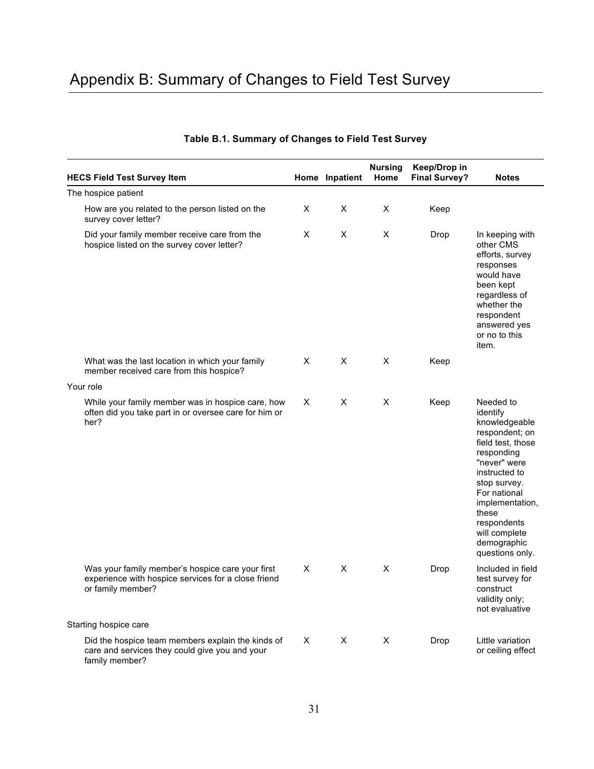## Appendix B: Summary of Changes to Field Test Survey

| <b>HECS Field Test Survey Item</b>                                                                                           |   | Home Inpatient | <b>Nursing</b><br>Home | Keep/Drop in<br><b>Final Survey?</b> | <b>Notes</b>                                                                                                                                                                                                                                               |
|------------------------------------------------------------------------------------------------------------------------------|---|----------------|------------------------|--------------------------------------|------------------------------------------------------------------------------------------------------------------------------------------------------------------------------------------------------------------------------------------------------------|
| The hospice patient                                                                                                          |   |                |                        |                                      |                                                                                                                                                                                                                                                            |
| How are you related to the person listed on the<br>survey cover letter?                                                      | X | X              | X                      | Keep                                 |                                                                                                                                                                                                                                                            |
| Did your family member receive care from the<br>hospice listed on the survey cover letter?                                   | X | X              | X                      | Drop                                 | In keeping with<br>other CMS<br>efforts, survey<br>responses<br>would have<br>been kept<br>regardless of<br>whether the<br>respondent<br>answered yes<br>or no to this<br>item.                                                                            |
| What was the last location in which your family<br>member received care from this hospice?                                   | X | X              | X                      | Keep                                 |                                                                                                                                                                                                                                                            |
| Your role                                                                                                                    |   |                |                        |                                      |                                                                                                                                                                                                                                                            |
| While your family member was in hospice care, how<br>often did you take part in or oversee care for him or<br>her?           | X | X              | X                      | Keep                                 | Needed to<br>identify<br>knowledgeable<br>respondent; on<br>field test, those<br>responding<br>"never" were<br>instructed to<br>stop survey.<br>For national<br>implementation,<br>these<br>respondents<br>will complete<br>demographic<br>questions only. |
| Was your family member's hospice care your first<br>experience with hospice services for a close friend<br>or family member? | X | X              | X                      | Drop                                 | Included in field<br>test survey for<br>construct<br>validity only;<br>not evaluative                                                                                                                                                                      |
| Starting hospice care                                                                                                        |   |                |                        |                                      |                                                                                                                                                                                                                                                            |
| Did the hospice team members explain the kinds of<br>care and services they could give you and your<br>family member?        | X | X              | X                      | Drop                                 | Little variation<br>or ceiling effect                                                                                                                                                                                                                      |

#### **Table B.1. Summary of Changes to Field Test Survey**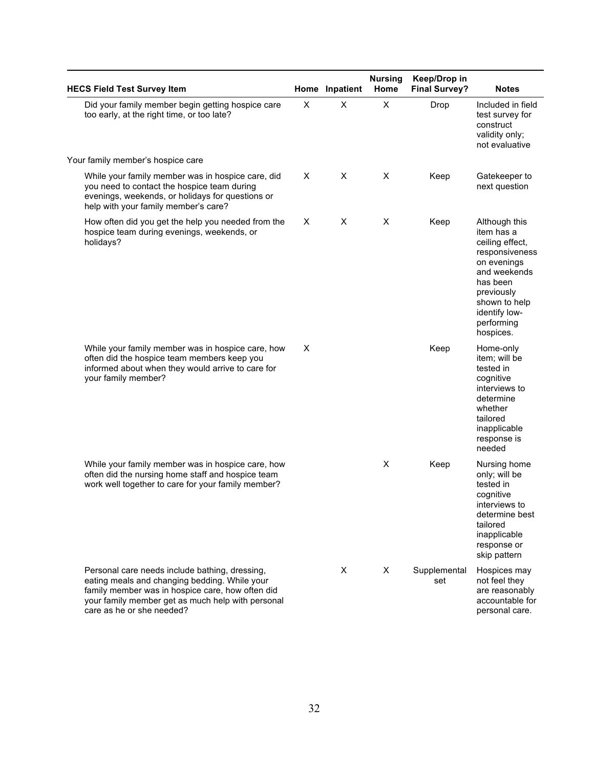| <b>HECS Field Test Survey Item</b>                                                                                                                                                                                                    |          | Home Inpatient | <b>Nursing</b><br>Home | Keep/Drop in<br><b>Final Survey?</b> | <b>Notes</b>                                                                                                                                                                           |
|---------------------------------------------------------------------------------------------------------------------------------------------------------------------------------------------------------------------------------------|----------|----------------|------------------------|--------------------------------------|----------------------------------------------------------------------------------------------------------------------------------------------------------------------------------------|
| Did your family member begin getting hospice care<br>too early, at the right time, or too late?                                                                                                                                       | X        | X              | X                      | Drop                                 | Included in field<br>test survey for<br>construct<br>validity only;<br>not evaluative                                                                                                  |
| Your family member's hospice care                                                                                                                                                                                                     |          |                |                        |                                      |                                                                                                                                                                                        |
| While your family member was in hospice care, did<br>you need to contact the hospice team during<br>evenings, weekends, or holidays for questions or<br>help with your family member's care?                                          | $\times$ | X              | X                      | Keep                                 | Gatekeeper to<br>next question                                                                                                                                                         |
| How often did you get the help you needed from the<br>hospice team during evenings, weekends, or<br>holidays?                                                                                                                         | X        | X              | X                      | Keep                                 | Although this<br>item has a<br>ceiling effect,<br>responsiveness<br>on evenings<br>and weekends<br>has been<br>previously<br>shown to help<br>identify low-<br>performing<br>hospices. |
| While your family member was in hospice care, how<br>often did the hospice team members keep you<br>informed about when they would arrive to care for<br>your family member?                                                          | X        |                |                        | Keep                                 | Home-only<br>item; will be<br>tested in<br>cognitive<br>interviews to<br>determine<br>whether<br>tailored<br>inapplicable<br>response is<br>needed                                     |
| While your family member was in hospice care, how<br>often did the nursing home staff and hospice team<br>work well together to care for your family member?                                                                          |          |                | X                      | Keep                                 | Nursing home<br>only; will be<br>tested in<br>cognitive<br>interviews to<br>determine best<br>tailored<br>inapplicable<br>response or<br>skip pattern                                  |
| Personal care needs include bathing, dressing,<br>eating meals and changing bedding. While your<br>family member was in hospice care, how often did<br>your family member get as much help with personal<br>care as he or she needed? |          | X              | X                      | Supplemental<br>set                  | Hospices may<br>not feel they<br>are reasonably<br>accountable for<br>personal care.                                                                                                   |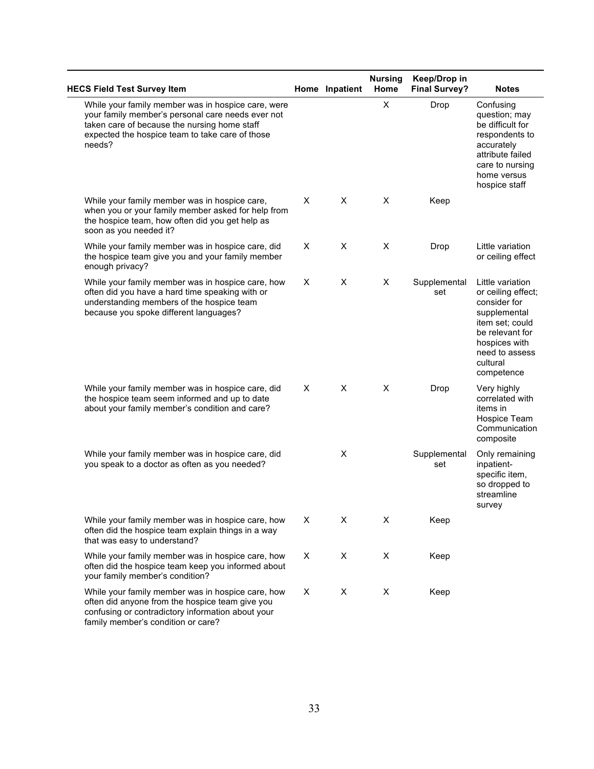| <b>HECS Field Test Survey Item</b>                                                                                                                                                                                   |   | Home Inpatient | <b>Nursing</b><br>Home | Keep/Drop in<br><b>Final Survey?</b> | <b>Notes</b>                                                                                                                                                              |
|----------------------------------------------------------------------------------------------------------------------------------------------------------------------------------------------------------------------|---|----------------|------------------------|--------------------------------------|---------------------------------------------------------------------------------------------------------------------------------------------------------------------------|
| While your family member was in hospice care, were<br>your family member's personal care needs ever not<br>taken care of because the nursing home staff<br>expected the hospice team to take care of those<br>needs? |   |                | X                      | Drop                                 | Confusing<br>question; may<br>be difficult for<br>respondents to<br>accurately<br>attribute failed<br>care to nursing<br>home versus<br>hospice staff                     |
| While your family member was in hospice care,<br>when you or your family member asked for help from<br>the hospice team, how often did you get help as<br>soon as you needed it?                                     | Х | X              | X                      | Keep                                 |                                                                                                                                                                           |
| While your family member was in hospice care, did<br>the hospice team give you and your family member<br>enough privacy?                                                                                             | X | X              | X                      | Drop                                 | Little variation<br>or ceiling effect                                                                                                                                     |
| While your family member was in hospice care, how<br>often did you have a hard time speaking with or<br>understanding members of the hospice team<br>because you spoke different languages?                          | X | X              | Χ                      | Supplemental<br>set                  | Little variation<br>or ceiling effect;<br>consider for<br>supplemental<br>item set; could<br>be relevant for<br>hospices with<br>need to assess<br>cultural<br>competence |
| While your family member was in hospice care, did<br>the hospice team seem informed and up to date<br>about your family member's condition and care?                                                                 | X | X              | X                      | Drop                                 | Very highly<br>correlated with<br>items in<br>Hospice Team<br>Communication<br>composite                                                                                  |
| While your family member was in hospice care, did<br>you speak to a doctor as often as you needed?                                                                                                                   |   | X              |                        | Supplemental<br>set                  | Only remaining<br>inpatient-<br>specific item,<br>so dropped to<br>streamline<br>survey                                                                                   |
| While your family member was in hospice care, how<br>often did the hospice team explain things in a way<br>that was easy to understand?                                                                              | X | Χ              | X                      | Keep                                 |                                                                                                                                                                           |
| While your family member was in hospice care, how<br>often did the hospice team keep you informed about<br>your family member's condition?                                                                           | X | X              | X                      | Keep                                 |                                                                                                                                                                           |
| While your family member was in hospice care, how<br>often did anyone from the hospice team give you<br>confusing or contradictory information about your<br>family member's condition or care?                      | Χ | X              | X                      | Keep                                 |                                                                                                                                                                           |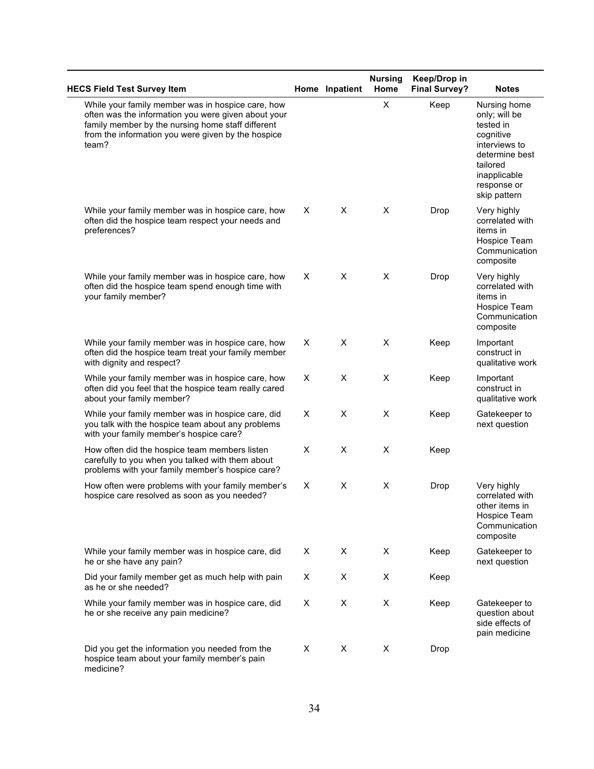| <b>HECS Field Test Survey Item</b>                                                                                                                                                                                           |   | Home Inpatient | <b>Nursing</b><br>Home | Keep/Drop in<br><b>Final Survey?</b> | <b>Notes</b>                                                                                                                                          |
|------------------------------------------------------------------------------------------------------------------------------------------------------------------------------------------------------------------------------|---|----------------|------------------------|--------------------------------------|-------------------------------------------------------------------------------------------------------------------------------------------------------|
| While your family member was in hospice care, how<br>often was the information you were given about your<br>family member by the nursing home staff different<br>from the information you were given by the hospice<br>team? |   |                | $\pmb{\times}$         | Keep                                 | Nursing home<br>only; will be<br>tested in<br>cognitive<br>interviews to<br>determine best<br>tailored<br>inapplicable<br>response or<br>skip pattern |
| While your family member was in hospice care, how<br>often did the hospice team respect your needs and<br>preferences?                                                                                                       | X | X              | X                      | Drop                                 | Very highly<br>correlated with<br>items in<br>Hospice Team<br>Communication<br>composite                                                              |
| While your family member was in hospice care, how<br>often did the hospice team spend enough time with<br>your family member?                                                                                                | X | X              | X                      | Drop                                 | Very highly<br>correlated with<br>items in<br>Hospice Team<br>Communication<br>composite                                                              |
| While your family member was in hospice care, how<br>often did the hospice team treat your family member<br>with dignity and respect?                                                                                        | X | X              | X                      | Keep                                 | Important<br>construct in<br>qualitative work                                                                                                         |
| While your family member was in hospice care, how<br>often did you feel that the hospice team really cared<br>about your family member?                                                                                      | X | X              | X                      | Keep                                 | Important<br>construct in<br>qualitative work                                                                                                         |
| While your family member was in hospice care, did<br>you talk with the hospice team about any problems<br>with your family member's hospice care?                                                                            | X | X              | X                      | Keep                                 | Gatekeeper to<br>next question                                                                                                                        |
| How often did the hospice team members listen<br>carefully to you when you talked with them about<br>problems with your family member's hospice care?                                                                        | X | X              | X                      | Keep                                 |                                                                                                                                                       |
| How often were problems with your family member's<br>hospice care resolved as soon as you needed?                                                                                                                            | Χ | X              | X                      | Drop                                 | Very highly<br>correlated with<br>other items in<br>Hospice Team<br>Communication<br>composite                                                        |
| While your family member was in hospice care, did<br>he or she have any pain?                                                                                                                                                | Χ | X              | X                      | Keep                                 | Gatekeeper to<br>next question                                                                                                                        |
| Did your family member get as much help with pain<br>as he or she needed?                                                                                                                                                    | Χ | Χ              | X                      | Keep                                 |                                                                                                                                                       |
| While your family member was in hospice care, did<br>he or she receive any pain medicine?                                                                                                                                    | X | X              | X                      | Keep                                 | Gatekeeper to<br>question about<br>side effects of<br>pain medicine                                                                                   |
| Did you get the information you needed from the<br>hospice team about your family member's pain<br>medicine?                                                                                                                 | Χ | X              | X                      | Drop                                 |                                                                                                                                                       |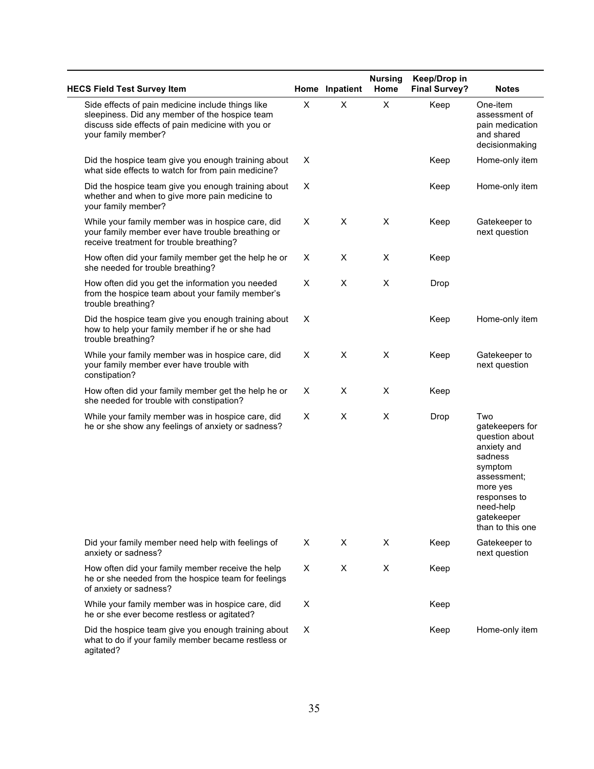| <b>HECS Field Test Survey Item</b>                                                                                                                                              |   | Home Inpatient | <b>Nursing</b><br>Home | Keep/Drop in<br><b>Final Survey?</b> | <b>Notes</b>                                                                                                                                                            |
|---------------------------------------------------------------------------------------------------------------------------------------------------------------------------------|---|----------------|------------------------|--------------------------------------|-------------------------------------------------------------------------------------------------------------------------------------------------------------------------|
| Side effects of pain medicine include things like<br>sleepiness. Did any member of the hospice team<br>discuss side effects of pain medicine with you or<br>your family member? | X | X              | X                      | Keep                                 | One-item<br>assessment of<br>pain medication<br>and shared<br>decisionmaking                                                                                            |
| Did the hospice team give you enough training about<br>what side effects to watch for from pain medicine?                                                                       | X |                |                        | Keep                                 | Home-only item                                                                                                                                                          |
| Did the hospice team give you enough training about<br>whether and when to give more pain medicine to<br>your family member?                                                    | X |                |                        | Keep                                 | Home-only item                                                                                                                                                          |
| While your family member was in hospice care, did<br>your family member ever have trouble breathing or<br>receive treatment for trouble breathing?                              | Χ | X              | X                      | Keep                                 | Gatekeeper to<br>next question                                                                                                                                          |
| How often did your family member get the help he or<br>she needed for trouble breathing?                                                                                        | X | X              | X                      | Keep                                 |                                                                                                                                                                         |
| How often did you get the information you needed<br>from the hospice team about your family member's<br>trouble breathing?                                                      | X | X              | X                      | Drop                                 |                                                                                                                                                                         |
| Did the hospice team give you enough training about<br>how to help your family member if he or she had<br>trouble breathing?                                                    | X |                |                        | Keep                                 | Home-only item                                                                                                                                                          |
| While your family member was in hospice care, did<br>your family member ever have trouble with<br>constipation?                                                                 | X | X              | X                      | Keep                                 | Gatekeeper to<br>next question                                                                                                                                          |
| How often did your family member get the help he or<br>she needed for trouble with constipation?                                                                                | X | X              | X                      | Keep                                 |                                                                                                                                                                         |
| While your family member was in hospice care, did<br>he or she show any feelings of anxiety or sadness?                                                                         | X | X              | X                      | Drop                                 | Two<br>gatekeepers for<br>question about<br>anxiety and<br>sadness<br>symptom<br>assessment;<br>more yes<br>responses to<br>need-help<br>gatekeeper<br>than to this one |
| Did your family member need help with feelings of<br>anxiety or sadness?                                                                                                        | Χ | X              | X                      | Keep                                 | Gatekeeper to<br>next question                                                                                                                                          |
| How often did your family member receive the help<br>he or she needed from the hospice team for feelings<br>of anxiety or sadness?                                              | Χ | X              | X                      | Keep                                 |                                                                                                                                                                         |
| While your family member was in hospice care, did<br>he or she ever become restless or agitated?                                                                                | X |                |                        | Keep                                 |                                                                                                                                                                         |
| Did the hospice team give you enough training about<br>what to do if your family member became restless or<br>agitated?                                                         | X |                |                        | Keep                                 | Home-only item                                                                                                                                                          |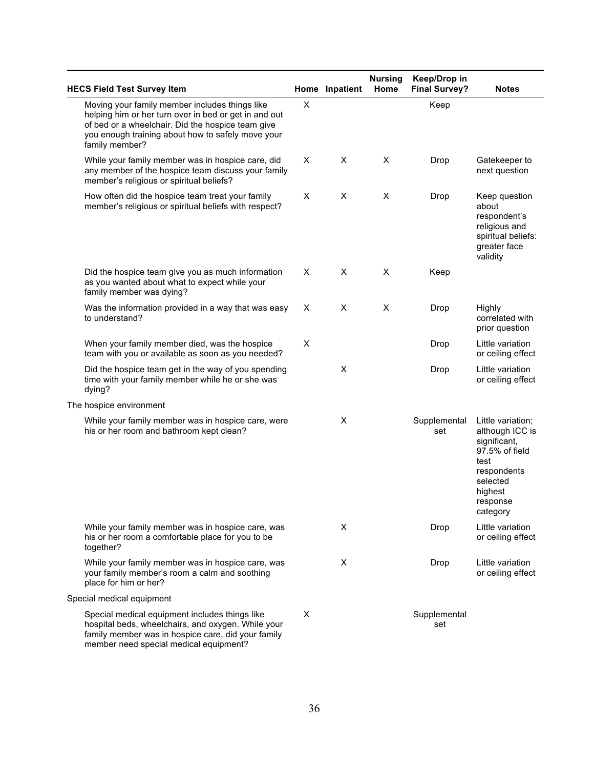| <b>HECS Field Test Survey Item</b>                                                                                                                                                                                                  |    | Home Inpatient | <b>Nursing</b><br>Home | Keep/Drop in<br><b>Final Survey?</b> | <b>Notes</b>                                                                                                                                 |
|-------------------------------------------------------------------------------------------------------------------------------------------------------------------------------------------------------------------------------------|----|----------------|------------------------|--------------------------------------|----------------------------------------------------------------------------------------------------------------------------------------------|
| Moving your family member includes things like<br>helping him or her turn over in bed or get in and out<br>of bed or a wheelchair. Did the hospice team give<br>you enough training about how to safely move your<br>family member? | X  |                |                        | Keep                                 |                                                                                                                                              |
| While your family member was in hospice care, did<br>any member of the hospice team discuss your family<br>member's religious or spiritual beliefs?                                                                                 | X. | X              | X                      | Drop                                 | Gatekeeper to<br>next question                                                                                                               |
| How often did the hospice team treat your family<br>member's religious or spiritual beliefs with respect?                                                                                                                           | X  | X              | X                      | Drop                                 | Keep question<br>about<br>respondent's<br>religious and<br>spiritual beliefs:<br>greater face<br>validity                                    |
| Did the hospice team give you as much information<br>as you wanted about what to expect while your<br>family member was dying?                                                                                                      | X  | X              | X                      | Keep                                 |                                                                                                                                              |
| Was the information provided in a way that was easy<br>to understand?                                                                                                                                                               | Χ  | Χ              | X                      | Drop                                 | Highly<br>correlated with<br>prior question                                                                                                  |
| When your family member died, was the hospice<br>team with you or available as soon as you needed?                                                                                                                                  | X  |                |                        | Drop                                 | Little variation<br>or ceiling effect                                                                                                        |
| Did the hospice team get in the way of you spending<br>time with your family member while he or she was<br>dying?                                                                                                                   |    | X              |                        | Drop                                 | Little variation<br>or ceiling effect                                                                                                        |
| The hospice environment                                                                                                                                                                                                             |    |                |                        |                                      |                                                                                                                                              |
| While your family member was in hospice care, were<br>his or her room and bathroom kept clean?                                                                                                                                      |    | X              |                        | Supplemental<br>set                  | Little variation;<br>although ICC is<br>significant,<br>97.5% of field<br>test<br>respondents<br>selected<br>highest<br>response<br>category |
| While your family member was in hospice care, was<br>his or her room a comfortable place for you to be<br>together?                                                                                                                 |    | Χ              |                        | Drop                                 | Little variation<br>or ceiling effect                                                                                                        |
| While your family member was in hospice care, was<br>your family member's room a calm and soothing<br>place for him or her?                                                                                                         |    | X              |                        | Drop                                 | Little variation<br>or ceiling effect                                                                                                        |
| Special medical equipment                                                                                                                                                                                                           |    |                |                        |                                      |                                                                                                                                              |
| Special medical equipment includes things like<br>hospital beds, wheelchairs, and oxygen. While your<br>family member was in hospice care, did your family<br>member need special medical equipment?                                | X  |                |                        | Supplemental<br>set                  |                                                                                                                                              |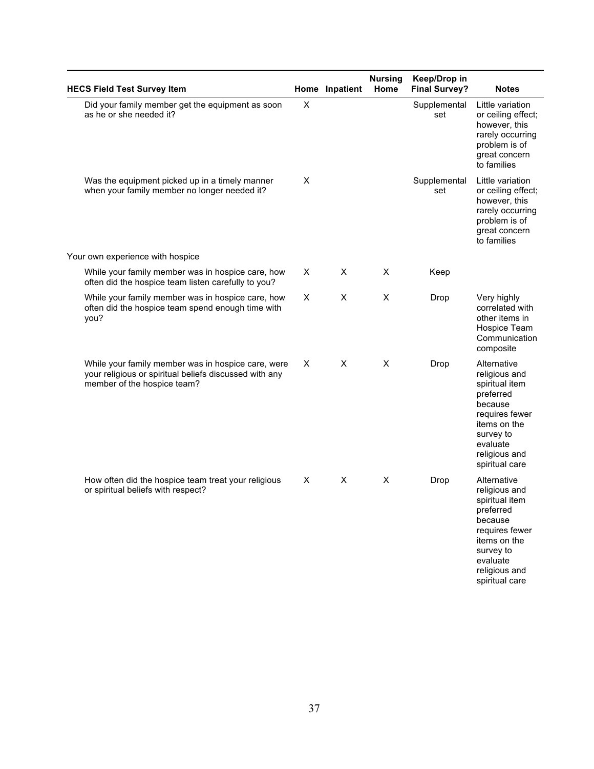| <b>HECS Field Test Survey Item</b>                                                                                                          |   | Home Inpatient | <b>Nursing</b><br>Home | Keep/Drop in<br><b>Final Survey?</b> | <b>Notes</b>                                                                                                                                                         |
|---------------------------------------------------------------------------------------------------------------------------------------------|---|----------------|------------------------|--------------------------------------|----------------------------------------------------------------------------------------------------------------------------------------------------------------------|
| Did your family member get the equipment as soon<br>as he or she needed it?                                                                 | X |                |                        | Supplemental<br>set                  | Little variation<br>or ceiling effect;<br>however, this<br>rarely occurring<br>problem is of<br>great concern<br>to families                                         |
| Was the equipment picked up in a timely manner<br>when your family member no longer needed it?                                              | X |                |                        | Supplemental<br>set                  | Little variation<br>or ceiling effect;<br>however, this<br>rarely occurring<br>problem is of<br>great concern<br>to families                                         |
| Your own experience with hospice                                                                                                            |   |                |                        |                                      |                                                                                                                                                                      |
| While your family member was in hospice care, how<br>often did the hospice team listen carefully to you?                                    | Χ | X              | X                      | Keep                                 |                                                                                                                                                                      |
| While your family member was in hospice care, how<br>often did the hospice team spend enough time with<br>you?                              | Χ | X              | X                      | Drop                                 | Very highly<br>correlated with<br>other items in<br>Hospice Team<br>Communication<br>composite                                                                       |
| While your family member was in hospice care, were<br>your religious or spiritual beliefs discussed with any<br>member of the hospice team? | Χ | X              | X                      | Drop                                 | Alternative<br>religious and<br>spiritual item<br>preferred<br>because<br>requires fewer<br>items on the<br>survey to<br>evaluate<br>religious and<br>spiritual care |
| How often did the hospice team treat your religious<br>or spiritual beliefs with respect?                                                   | Χ | X              | X                      | Drop                                 | Alternative<br>religious and<br>spiritual item<br>preferred<br>because<br>requires fewer<br>items on the<br>survey to<br>evaluate<br>religious and<br>spiritual care |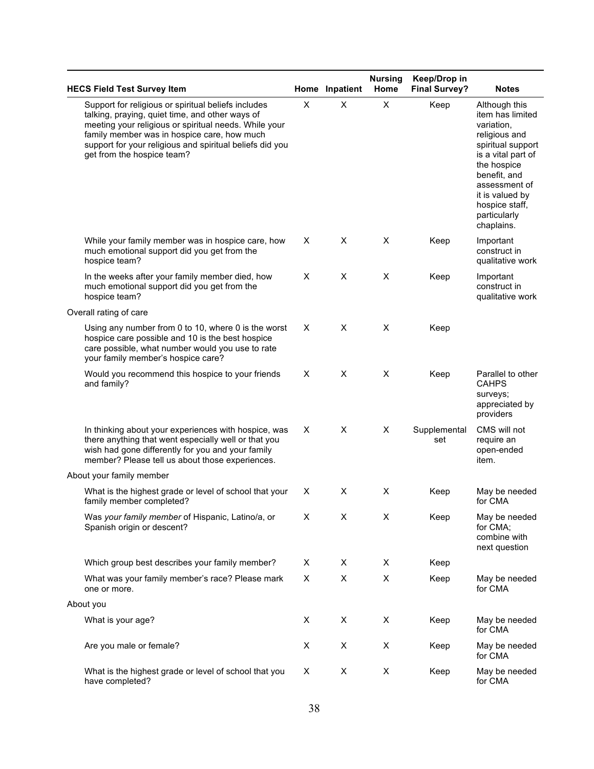| <b>HECS Field Test Survey Item</b>                                                                                                                                                                                                                                                                       |   | Home Inpatient | <b>Nursing</b><br>Home | Keep/Drop in<br><b>Final Survey?</b> | <b>Notes</b>                                                                                                                                                                                                                   |
|----------------------------------------------------------------------------------------------------------------------------------------------------------------------------------------------------------------------------------------------------------------------------------------------------------|---|----------------|------------------------|--------------------------------------|--------------------------------------------------------------------------------------------------------------------------------------------------------------------------------------------------------------------------------|
| Support for religious or spiritual beliefs includes<br>talking, praying, quiet time, and other ways of<br>meeting your religious or spiritual needs. While your<br>family member was in hospice care, how much<br>support for your religious and spiritual beliefs did you<br>get from the hospice team? | X | X              | X                      | Keep                                 | Although this<br>item has limited<br>variation.<br>religious and<br>spiritual support<br>is a vital part of<br>the hospice<br>benefit, and<br>assessment of<br>it is valued by<br>hospice staff,<br>particularly<br>chaplains. |
| While your family member was in hospice care, how<br>much emotional support did you get from the<br>hospice team?                                                                                                                                                                                        | X | X              | X                      | Keep                                 | Important<br>construct in<br>qualitative work                                                                                                                                                                                  |
| In the weeks after your family member died, how<br>much emotional support did you get from the<br>hospice team?                                                                                                                                                                                          | X | X              | X                      | Keep                                 | Important<br>construct in<br>qualitative work                                                                                                                                                                                  |
| Overall rating of care                                                                                                                                                                                                                                                                                   |   |                |                        |                                      |                                                                                                                                                                                                                                |
| Using any number from 0 to 10, where 0 is the worst<br>hospice care possible and 10 is the best hospice<br>care possible, what number would you use to rate<br>your family member's hospice care?                                                                                                        | X | X              | X                      | Keep                                 |                                                                                                                                                                                                                                |
| Would you recommend this hospice to your friends<br>and family?                                                                                                                                                                                                                                          | X | X              | X                      | Keep                                 | Parallel to other<br><b>CAHPS</b><br>surveys;<br>appreciated by<br>providers                                                                                                                                                   |
| In thinking about your experiences with hospice, was<br>there anything that went especially well or that you<br>wish had gone differently for you and your family<br>member? Please tell us about those experiences.                                                                                     | X | X              | X                      | Supplemental<br>set                  | CMS will not<br>require an<br>open-ended<br>item.                                                                                                                                                                              |
| About your family member                                                                                                                                                                                                                                                                                 |   |                |                        |                                      |                                                                                                                                                                                                                                |
| What is the highest grade or level of school that your<br>family member completed?                                                                                                                                                                                                                       | X | Χ              | X                      | Keep                                 | May be needed<br>for CMA                                                                                                                                                                                                       |
| Was your family member of Hispanic, Latino/a, or<br>Spanish origin or descent?                                                                                                                                                                                                                           | Χ | X              | X                      | Keep                                 | May be needed<br>for CMA;<br>combine with<br>next question                                                                                                                                                                     |
| Which group best describes your family member?                                                                                                                                                                                                                                                           | X | X              | X                      | Keep                                 |                                                                                                                                                                                                                                |
| What was your family member's race? Please mark<br>one or more.                                                                                                                                                                                                                                          | X | X              | X                      | Keep                                 | May be needed<br>for CMA                                                                                                                                                                                                       |
| About you                                                                                                                                                                                                                                                                                                |   |                |                        |                                      |                                                                                                                                                                                                                                |
| What is your age?                                                                                                                                                                                                                                                                                        | X | X              | X                      | Keep                                 | May be needed<br>for CMA                                                                                                                                                                                                       |
| Are you male or female?                                                                                                                                                                                                                                                                                  | X | X              | X                      | Keep                                 | May be needed<br>for CMA                                                                                                                                                                                                       |
| What is the highest grade or level of school that you<br>have completed?                                                                                                                                                                                                                                 | X | X              | X                      | Keep                                 | May be needed<br>for CMA                                                                                                                                                                                                       |